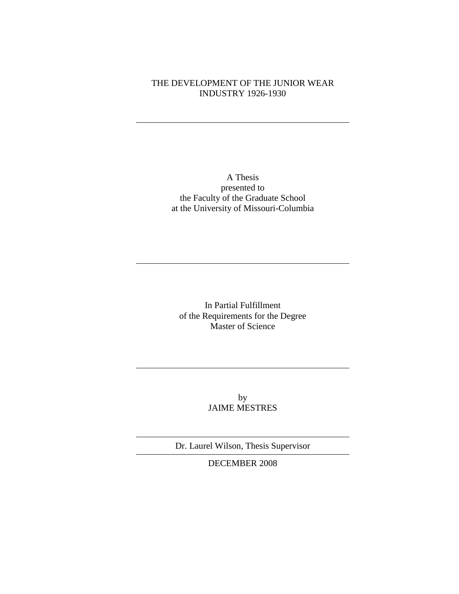## THE DEVELOPMENT OF THE JUNIOR WEAR INDUSTRY 1926-1930

A Thesis presented to the Faculty of the Graduate School at the University of Missouri-Columbia

In Partial Fulfillment of the Requirements for the Degree Master of Science

> by JAIME MESTRES

Dr. Laurel Wilson, Thesis Supervisor

DECEMBER 2008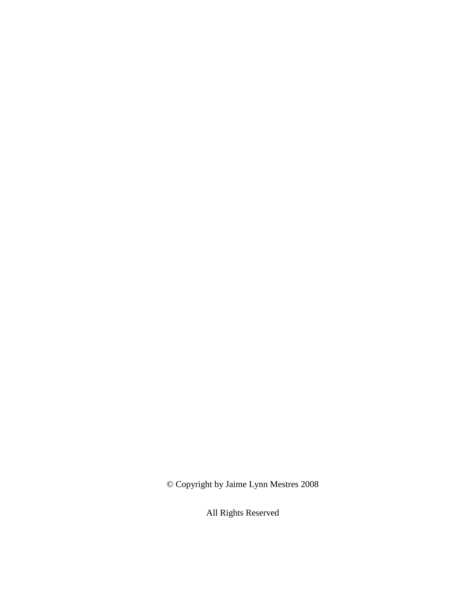© Copyright by Jaime Lynn Mestres 2008

All Rights Reserved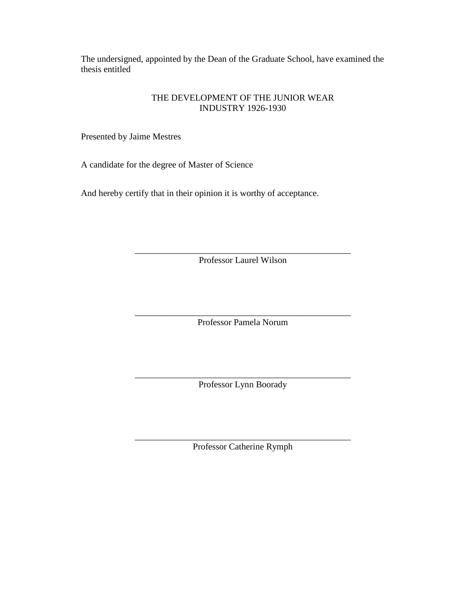The undersigned, appointed by the Dean of the Graduate School, have examined the thesis entitled

## THE DEVELOPMENT OF THE JUNIOR WEAR INDUSTRY 1926-1930

Presented by Jaime Mestres

A candidate for the degree of Master of Science

And hereby certify that in their opinion it is worthy of acceptance.

\_\_\_\_\_\_\_\_\_\_\_\_\_\_\_\_\_\_\_\_\_\_\_\_\_\_\_\_\_\_\_\_\_\_\_\_\_\_\_\_\_\_\_\_\_\_\_\_ Professor Laurel Wilson

\_\_\_\_\_\_\_\_\_\_\_\_\_\_\_\_\_\_\_\_\_\_\_\_\_\_\_\_\_\_\_\_\_\_\_\_\_\_\_\_\_\_\_\_\_\_\_\_ Professor Pamela Norum

\_\_\_\_\_\_\_\_\_\_\_\_\_\_\_\_\_\_\_\_\_\_\_\_\_\_\_\_\_\_\_\_\_\_\_\_\_\_\_\_\_\_\_\_\_\_\_\_ Professor Lynn Boorady

\_\_\_\_\_\_\_\_\_\_\_\_\_\_\_\_\_\_\_\_\_\_\_\_\_\_\_\_\_\_\_\_\_\_\_\_\_\_\_\_\_\_\_\_\_\_\_\_ Professor Catherine Rymph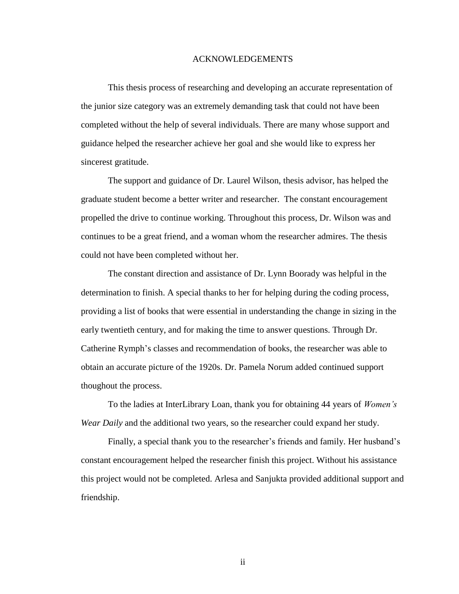#### ACKNOWLEDGEMENTS

This thesis process of researching and developing an accurate representation of the junior size category was an extremely demanding task that could not have been completed without the help of several individuals. There are many whose support and guidance helped the researcher achieve her goal and she would like to express her sincerest gratitude.

The support and guidance of Dr. Laurel Wilson, thesis advisor, has helped the graduate student become a better writer and researcher. The constant encouragement propelled the drive to continue working. Throughout this process, Dr. Wilson was and continues to be a great friend, and a woman whom the researcher admires. The thesis could not have been completed without her.

The constant direction and assistance of Dr. Lynn Boorady was helpful in the determination to finish. A special thanks to her for helping during the coding process, providing a list of books that were essential in understanding the change in sizing in the early twentieth century, and for making the time to answer questions. Through Dr. Catherine Rymph"s classes and recommendation of books, the researcher was able to obtain an accurate picture of the 1920s. Dr. Pamela Norum added continued support thoughout the process.

To the ladies at InterLibrary Loan, thank you for obtaining 44 years of *Women's Wear Daily* and the additional two years, so the researcher could expand her study.

Finally, a special thank you to the researcher's friends and family. Her husband's constant encouragement helped the researcher finish this project. Without his assistance this project would not be completed. Arlesa and Sanjukta provided additional support and friendship.

ii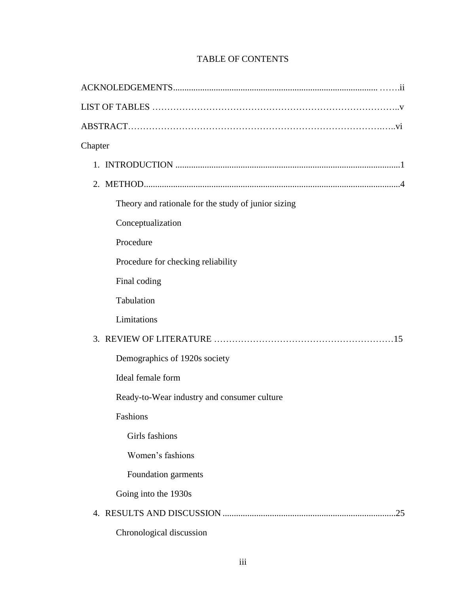| Chapter                                             |     |
|-----------------------------------------------------|-----|
|                                                     |     |
|                                                     |     |
| Theory and rationale for the study of junior sizing |     |
| Conceptualization                                   |     |
| Procedure                                           |     |
| Procedure for checking reliability                  |     |
| Final coding                                        |     |
| Tabulation                                          |     |
| Limitations                                         |     |
|                                                     |     |
| Demographics of 1920s society                       |     |
| Ideal female form                                   |     |
| Ready-to-Wear industry and consumer culture         |     |
| Fashions                                            |     |
| Girls fashions                                      |     |
| Women's fashions                                    |     |
| Foundation garments                                 |     |
| Going into the 1930s                                |     |
|                                                     | .25 |
| Chronological discussion                            |     |

## TABLE OF CONTENTS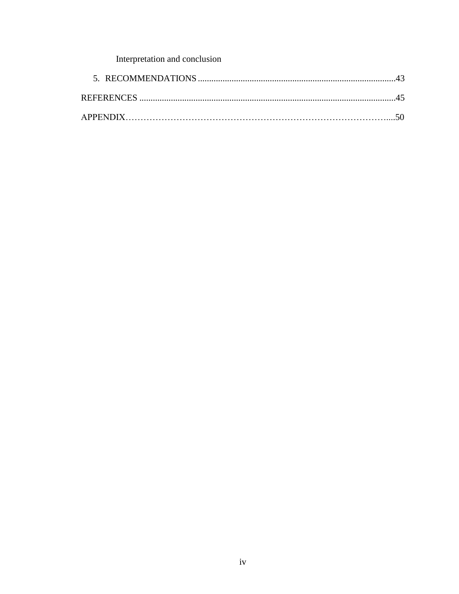# Interpretation and conclusion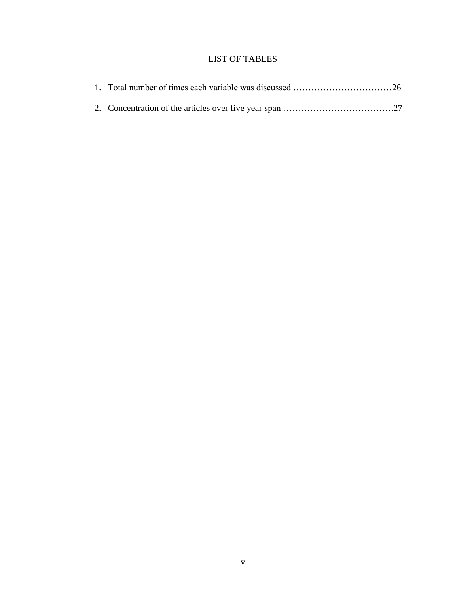## LIST OF TABLES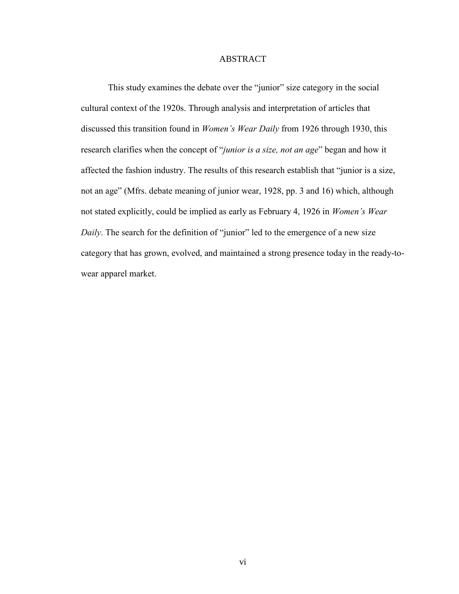### ABSTRACT

This study examines the debate over the "junior" size category in the social cultural context of the 1920s. Through analysis and interpretation of articles that discussed this transition found in *Women's Wear Daily* from 1926 through 1930, this research clarifies when the concept of "*junior is a size, not an age*" began and how it affected the fashion industry. The results of this research establish that "junior is a size, not an age" (Mfrs. debate meaning of junior wear, 1928, pp. 3 and 16) which, although not stated explicitly, could be implied as early as February 4, 1926 in *Women's Wear Daily*. The search for the definition of "junior" led to the emergence of a new size category that has grown, evolved, and maintained a strong presence today in the ready-towear apparel market.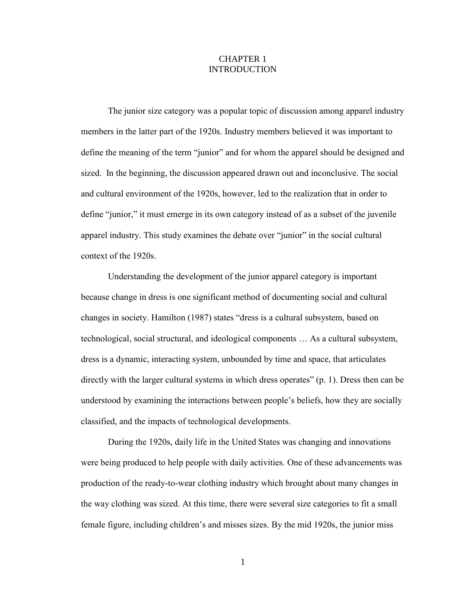## CHAPTER 1 INTRODUCTION

The junior size category was a popular topic of discussion among apparel industry members in the latter part of the 1920s. Industry members believed it was important to define the meaning of the term "junior" and for whom the apparel should be designed and sized. In the beginning, the discussion appeared drawn out and inconclusive. The social and cultural environment of the 1920s, however, led to the realization that in order to define "junior," it must emerge in its own category instead of as a subset of the juvenile apparel industry. This study examines the debate over "junior" in the social cultural context of the 1920s.

 Understanding the development of the junior apparel category is important because change in dress is one significant method of documenting social and cultural changes in society. Hamilton (1987) states "dress is a cultural subsystem, based on technological, social structural, and ideological components … As a cultural subsystem, dress is a dynamic, interacting system, unbounded by time and space, that articulates directly with the larger cultural systems in which dress operates" (p. 1). Dress then can be understood by examining the interactions between people's beliefs, how they are socially classified, and the impacts of technological developments.

During the 1920s, daily life in the United States was changing and innovations were being produced to help people with daily activities. One of these advancements was production of the ready-to-wear clothing industry which brought about many changes in the way clothing was sized. At this time, there were several size categories to fit a small female figure, including children's and misses sizes. By the mid 1920s, the junior miss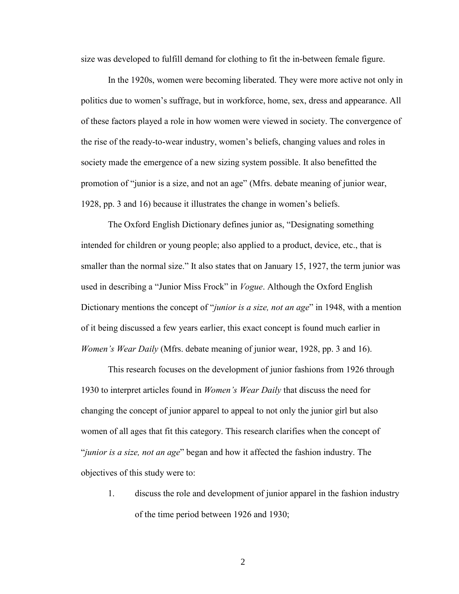size was developed to fulfill demand for clothing to fit the in-between female figure.

In the 1920s, women were becoming liberated. They were more active not only in politics due to women's suffrage, but in workforce, home, sex, dress and appearance. All of these factors played a role in how women were viewed in society. The convergence of the rise of the ready-to-wear industry, women's beliefs, changing values and roles in society made the emergence of a new sizing system possible. It also benefitted the promotion of "junior is a size, and not an age" (Mfrs. debate meaning of junior wear, 1928, pp. 3 and 16) because it illustrates the change in women's beliefs.

The Oxford English Dictionary defines junior as, "Designating something intended for children or young people; also applied to a product, device, etc., that is smaller than the normal size." It also states that on January 15, 1927, the term junior was used in describing a "Junior Miss Frock" in *Vogue*. Although the Oxford English Dictionary mentions the concept of "*junior is a size, not an age*" in 1948, with a mention of it being discussed a few years earlier, this exact concept is found much earlier in *Women's Wear Daily* (Mfrs. debate meaning of junior wear, 1928, pp. 3 and 16).

This research focuses on the development of junior fashions from 1926 through 1930 to interpret articles found in *Women's Wear Daily* that discuss the need for changing the concept of junior apparel to appeal to not only the junior girl but also women of all ages that fit this category. This research clarifies when the concept of "*junior is a size, not an age*" began and how it affected the fashion industry. The objectives of this study were to:

1. discuss the role and development of junior apparel in the fashion industry of the time period between 1926 and 1930;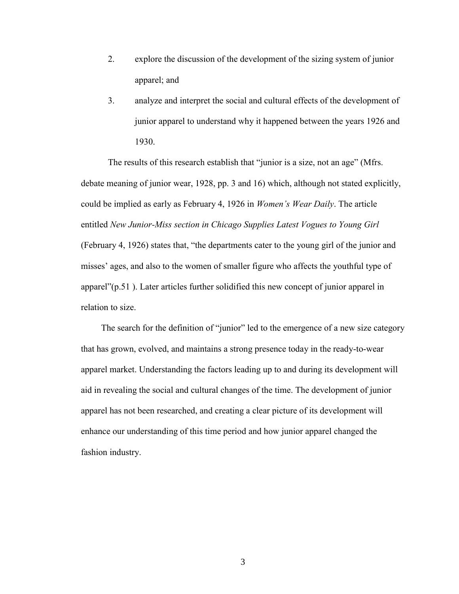- 2. explore the discussion of the development of the sizing system of junior apparel; and
- 3. analyze and interpret the social and cultural effects of the development of junior apparel to understand why it happened between the years 1926 and 1930.

The results of this research establish that "junior is a size, not an age" (Mfrs. debate meaning of junior wear, 1928, pp. 3 and 16) which, although not stated explicitly, could be implied as early as February 4, 1926 in *Women's Wear Daily*. The article entitled *New Junior-Miss section in Chicago Supplies Latest Vogues to Young Girl* (February 4, 1926) states that, "the departments cater to the young girl of the junior and misses' ages, and also to the women of smaller figure who affects the youthful type of apparel"(p.51 ). Later articles further solidified this new concept of junior apparel in relation to size.

 The search for the definition of "junior" led to the emergence of a new size category that has grown, evolved, and maintains a strong presence today in the ready-to-wear apparel market. Understanding the factors leading up to and during its development will aid in revealing the social and cultural changes of the time. The development of junior apparel has not been researched, and creating a clear picture of its development will enhance our understanding of this time period and how junior apparel changed the fashion industry.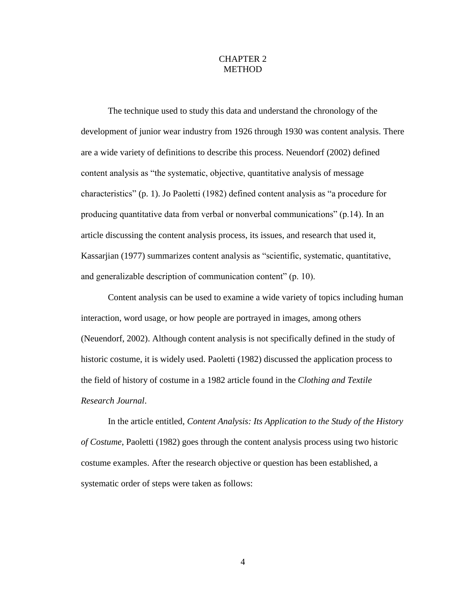## CHAPTER 2 **METHOD**

The technique used to study this data and understand the chronology of the development of junior wear industry from 1926 through 1930 was content analysis. There are a wide variety of definitions to describe this process. Neuendorf (2002) defined content analysis as "the systematic, objective, quantitative analysis of message characteristics" (p. 1). Jo Paoletti (1982) defined content analysis as "a procedure for producing quantitative data from verbal or nonverbal communications" (p.14). In an article discussing the content analysis process, its issues, and research that used it, Kassarjian (1977) summarizes content analysis as "scientific, systematic, quantitative, and generalizable description of communication content" (p. 10).

Content analysis can be used to examine a wide variety of topics including human interaction, word usage, or how people are portrayed in images, among others (Neuendorf, 2002). Although content analysis is not specifically defined in the study of historic costume, it is widely used. Paoletti (1982) discussed the application process to the field of history of costume in a 1982 article found in the *Clothing and Textile Research Journal*.

In the article entitled, *Content Analysis: Its Application to the Study of the History of Costume*, Paoletti (1982) goes through the content analysis process using two historic costume examples. After the research objective or question has been established, a systematic order of steps were taken as follows: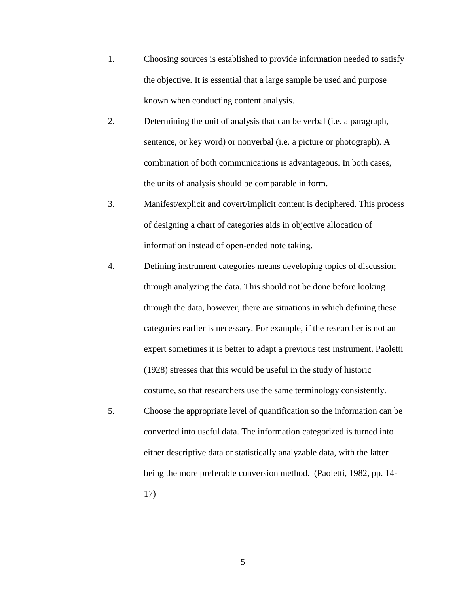- 1. Choosing sources is established to provide information needed to satisfy the objective. It is essential that a large sample be used and purpose known when conducting content analysis.
- 2. Determining the unit of analysis that can be verbal (i.e. a paragraph, sentence, or key word) or nonverbal (i.e. a picture or photograph). A combination of both communications is advantageous. In both cases, the units of analysis should be comparable in form.
- 3. Manifest/explicit and covert/implicit content is deciphered. This process of designing a chart of categories aids in objective allocation of information instead of open-ended note taking.
- 4. Defining instrument categories means developing topics of discussion through analyzing the data. This should not be done before looking through the data, however, there are situations in which defining these categories earlier is necessary. For example, if the researcher is not an expert sometimes it is better to adapt a previous test instrument. Paoletti (1928) stresses that this would be useful in the study of historic costume, so that researchers use the same terminology consistently.
- 5. Choose the appropriate level of quantification so the information can be converted into useful data. The information categorized is turned into either descriptive data or statistically analyzable data, with the latter being the more preferable conversion method. (Paoletti, 1982, pp. 14- 17)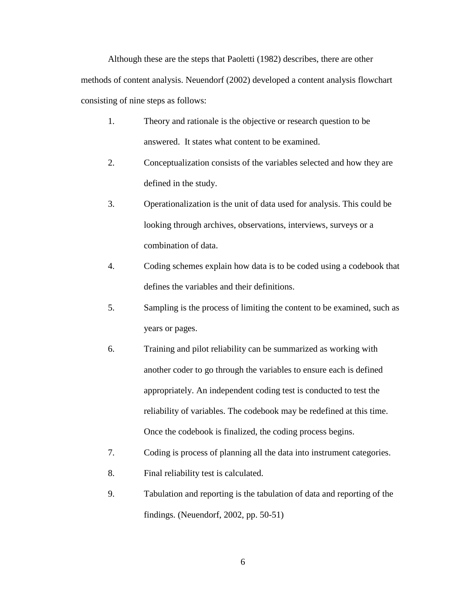Although these are the steps that Paoletti (1982) describes, there are other methods of content analysis. Neuendorf (2002) developed a content analysis flowchart consisting of nine steps as follows:

- 1. Theory and rationale is the objective or research question to be answered. It states what content to be examined.
- 2. Conceptualization consists of the variables selected and how they are defined in the study.
- 3. Operationalization is the unit of data used for analysis. This could be looking through archives, observations, interviews, surveys or a combination of data.
- 4. Coding schemes explain how data is to be coded using a codebook that defines the variables and their definitions.
- 5. Sampling is the process of limiting the content to be examined, such as years or pages.
- 6. Training and pilot reliability can be summarized as working with another coder to go through the variables to ensure each is defined appropriately. An independent coding test is conducted to test the reliability of variables. The codebook may be redefined at this time. Once the codebook is finalized, the coding process begins.
- 7. Coding is process of planning all the data into instrument categories.
- 8. Final reliability test is calculated.
- 9. Tabulation and reporting is the tabulation of data and reporting of the findings. (Neuendorf, 2002, pp. 50-51)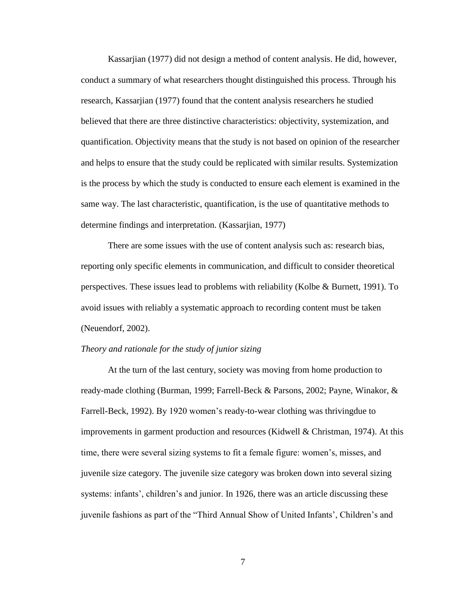Kassarjian (1977) did not design a method of content analysis. He did, however, conduct a summary of what researchers thought distinguished this process. Through his research, Kassarjian (1977) found that the content analysis researchers he studied believed that there are three distinctive characteristics: objectivity, systemization, and quantification. Objectivity means that the study is not based on opinion of the researcher and helps to ensure that the study could be replicated with similar results. Systemization is the process by which the study is conducted to ensure each element is examined in the same way. The last characteristic, quantification, is the use of quantitative methods to determine findings and interpretation. (Kassarjian, 1977)

There are some issues with the use of content analysis such as: research bias, reporting only specific elements in communication, and difficult to consider theoretical perspectives. These issues lead to problems with reliability (Kolbe & Burnett, 1991). To avoid issues with reliably a systematic approach to recording content must be taken (Neuendorf, 2002).

#### *Theory and rationale for the study of junior sizing*

At the turn of the last century, society was moving from home production to ready-made clothing (Burman, 1999; Farrell-Beck & Parsons, 2002; Payne, Winakor, & Farrell-Beck, 1992). By 1920 women"s ready-to-wear clothing was thrivingdue to improvements in garment production and resources (Kidwell & Christman, 1974). At this time, there were several sizing systems to fit a female figure: women"s, misses, and juvenile size category. The juvenile size category was broken down into several sizing systems: infants', children's and junior. In 1926, there was an article discussing these juvenile fashions as part of the "Third Annual Show of United Infants", Children"s and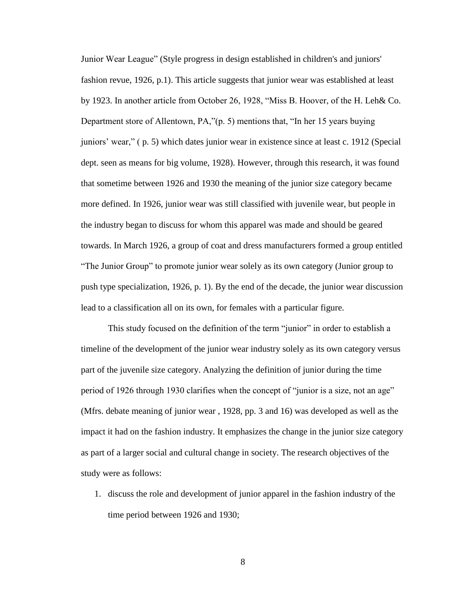Junior Wear League" (Style progress in design established in children's and juniors' fashion revue, 1926, p.1). This article suggests that junior wear was established at least by 1923. In another article from October 26, 1928, "Miss B. Hoover, of the H. Leh& Co. Department store of Allentown, PA,"(p. 5) mentions that, "In her 15 years buying juniors" wear," ( p. 5) which dates junior wear in existence since at least c. 1912 (Special dept. seen as means for big volume, 1928). However, through this research, it was found that sometime between 1926 and 1930 the meaning of the junior size category became more defined. In 1926, junior wear was still classified with juvenile wear, but people in the industry began to discuss for whom this apparel was made and should be geared towards. In March 1926, a group of coat and dress manufacturers formed a group entitled "The Junior Group" to promote junior wear solely as its own category (Junior group to push type specialization, 1926, p. 1). By the end of the decade, the junior wear discussion lead to a classification all on its own, for females with a particular figure.

This study focused on the definition of the term "junior" in order to establish a timeline of the development of the junior wear industry solely as its own category versus part of the juvenile size category. Analyzing the definition of junior during the time period of 1926 through 1930 clarifies when the concept of "junior is a size, not an age" (Mfrs. debate meaning of junior wear , 1928, pp. 3 and 16) was developed as well as the impact it had on the fashion industry. It emphasizes the change in the junior size category as part of a larger social and cultural change in society. The research objectives of the study were as follows:

1. discuss the role and development of junior apparel in the fashion industry of the time period between 1926 and 1930;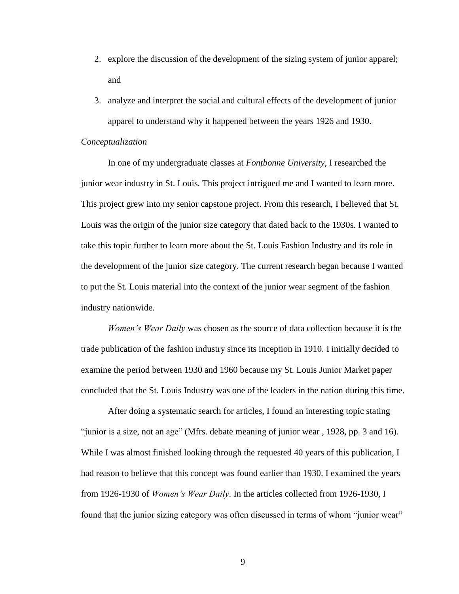- 2. explore the discussion of the development of the sizing system of junior apparel; and
- 3. analyze and interpret the social and cultural effects of the development of junior apparel to understand why it happened between the years 1926 and 1930.

#### *Conceptualization*

In one of my undergraduate classes at *Fontbonne University*, I researched the junior wear industry in St. Louis. This project intrigued me and I wanted to learn more. This project grew into my senior capstone project. From this research, I believed that St. Louis was the origin of the junior size category that dated back to the 1930s. I wanted to take this topic further to learn more about the St. Louis Fashion Industry and its role in the development of the junior size category. The current research began because I wanted to put the St. Louis material into the context of the junior wear segment of the fashion industry nationwide.

*Women's Wear Daily* was chosen as the source of data collection because it is the trade publication of the fashion industry since its inception in 1910. I initially decided to examine the period between 1930 and 1960 because my St. Louis Junior Market paper concluded that the St. Louis Industry was one of the leaders in the nation during this time.

After doing a systematic search for articles, I found an interesting topic stating "junior is a size, not an age" (Mfrs. debate meaning of junior wear , 1928, pp. 3 and 16). While I was almost finished looking through the requested 40 years of this publication, I had reason to believe that this concept was found earlier than 1930. I examined the years from 1926-1930 of *Women's Wear Daily*. In the articles collected from 1926-1930, I found that the junior sizing category was often discussed in terms of whom "junior wear"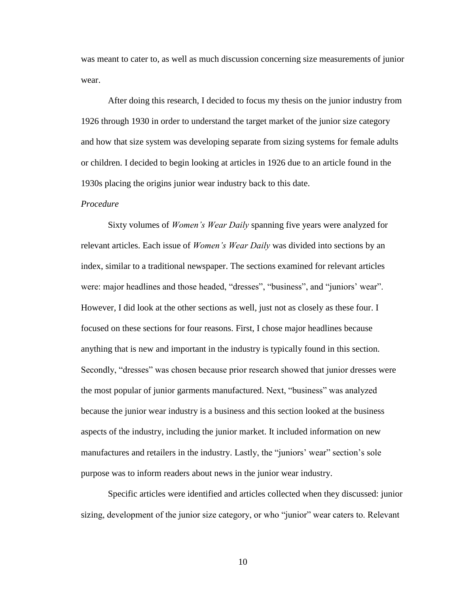was meant to cater to, as well as much discussion concerning size measurements of junior wear.

After doing this research, I decided to focus my thesis on the junior industry from 1926 through 1930 in order to understand the target market of the junior size category and how that size system was developing separate from sizing systems for female adults or children. I decided to begin looking at articles in 1926 due to an article found in the 1930s placing the origins junior wear industry back to this date.

#### *Procedure*

Sixty volumes of *Women's Wear Daily* spanning five years were analyzed for relevant articles. Each issue of *Women's Wear Daily* was divided into sections by an index, similar to a traditional newspaper. The sections examined for relevant articles were: major headlines and those headed, "dresses", "business", and "juniors' wear". However, I did look at the other sections as well, just not as closely as these four. I focused on these sections for four reasons. First, I chose major headlines because anything that is new and important in the industry is typically found in this section. Secondly, "dresses" was chosen because prior research showed that junior dresses were the most popular of junior garments manufactured. Next, "business" was analyzed because the junior wear industry is a business and this section looked at the business aspects of the industry, including the junior market. It included information on new manufactures and retailers in the industry. Lastly, the "juniors' wear" section's sole purpose was to inform readers about news in the junior wear industry.

Specific articles were identified and articles collected when they discussed: junior sizing, development of the junior size category, or who "junior" wear caters to. Relevant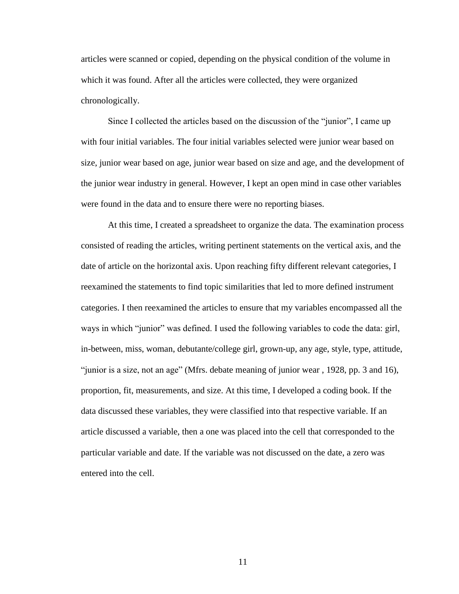articles were scanned or copied, depending on the physical condition of the volume in which it was found. After all the articles were collected, they were organized chronologically.

Since I collected the articles based on the discussion of the "junior", I came up with four initial variables. The four initial variables selected were junior wear based on size, junior wear based on age, junior wear based on size and age, and the development of the junior wear industry in general. However, I kept an open mind in case other variables were found in the data and to ensure there were no reporting biases.

At this time, I created a spreadsheet to organize the data. The examination process consisted of reading the articles, writing pertinent statements on the vertical axis, and the date of article on the horizontal axis. Upon reaching fifty different relevant categories, I reexamined the statements to find topic similarities that led to more defined instrument categories. I then reexamined the articles to ensure that my variables encompassed all the ways in which "junior" was defined. I used the following variables to code the data: girl, in-between, miss, woman, debutante/college girl, grown-up, any age, style, type, attitude, "junior is a size, not an age" (Mfrs. debate meaning of junior wear , 1928, pp. 3 and 16), proportion, fit, measurements, and size. At this time, I developed a coding book. If the data discussed these variables, they were classified into that respective variable. If an article discussed a variable, then a one was placed into the cell that corresponded to the particular variable and date. If the variable was not discussed on the date, a zero was entered into the cell.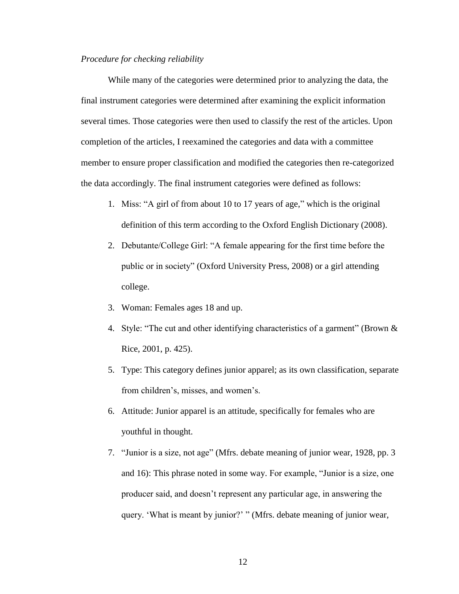#### *Procedure for checking reliability*

While many of the categories were determined prior to analyzing the data, the final instrument categories were determined after examining the explicit information several times. Those categories were then used to classify the rest of the articles. Upon completion of the articles, I reexamined the categories and data with a committee member to ensure proper classification and modified the categories then re-categorized the data accordingly. The final instrument categories were defined as follows:

- 1. Miss: "A girl of from about 10 to 17 years of age," which is the original definition of this term according to the Oxford English Dictionary (2008).
- 2. Debutante/College Girl: "A female appearing for the first time before the public or in society" (Oxford University Press, 2008) or a girl attending college.
- 3. Woman: Females ages 18 and up.
- 4. Style: "The cut and other identifying characteristics of a garment" (Brown & Rice, 2001, p. 425).
- 5. Type: This category defines junior apparel; as its own classification, separate from children's, misses, and women's.
- 6. Attitude: Junior apparel is an attitude, specifically for females who are youthful in thought.
- 7. "Junior is a size, not age" (Mfrs. debate meaning of junior wear, 1928, pp. 3 and 16): This phrase noted in some way. For example, "Junior is a size, one producer said, and doesn"t represent any particular age, in answering the query. "What is meant by junior?" " (Mfrs. debate meaning of junior wear,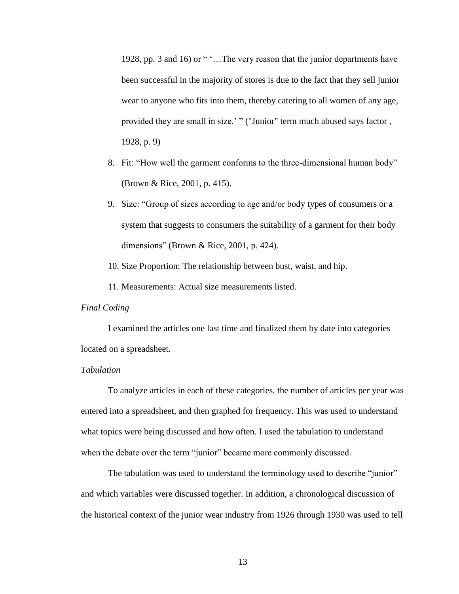1928, pp. 3 and 16) or " '...The very reason that the junior departments have been successful in the majority of stores is due to the fact that they sell junior wear to anyone who fits into them, thereby catering to all women of any age, provided they are small in size." " ("Junior" term much abused says factor , 1928, p. 9)

- 8. Fit: "How well the garment conforms to the three-dimensional human body" (Brown & Rice, 2001, p. 415).
- 9. Size: "Group of sizes according to age and/or body types of consumers or a system that suggests to consumers the suitability of a garment for their body dimensions" (Brown & Rice, 2001, p. 424).
- 10. Size Proportion: The relationship between bust, waist, and hip.

11. Measurements: Actual size measurements listed.

### *Final Coding*

I examined the articles one last time and finalized them by date into categories located on a spreadsheet.

### *Tabulation*

To analyze articles in each of these categories, the number of articles per year was entered into a spreadsheet, and then graphed for frequency. This was used to understand what topics were being discussed and how often. I used the tabulation to understand when the debate over the term "junior" became more commonly discussed.

The tabulation was used to understand the terminology used to describe "junior" and which variables were discussed together. In addition, a chronological discussion of the historical context of the junior wear industry from 1926 through 1930 was used to tell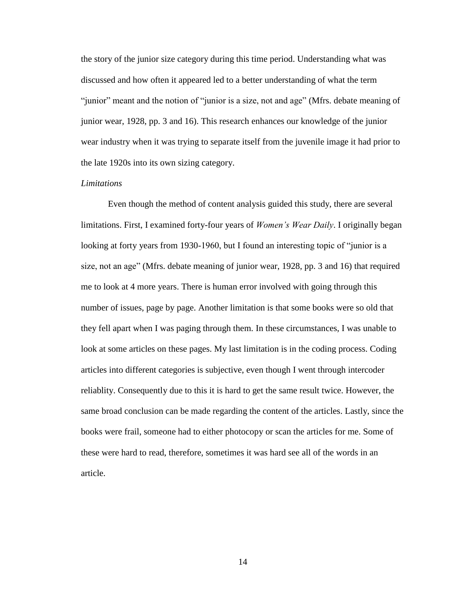the story of the junior size category during this time period. Understanding what was discussed and how often it appeared led to a better understanding of what the term "junior" meant and the notion of "junior is a size, not and age" (Mfrs. debate meaning of junior wear, 1928, pp. 3 and 16). This research enhances our knowledge of the junior wear industry when it was trying to separate itself from the juvenile image it had prior to the late 1920s into its own sizing category.

#### *Limitations*

Even though the method of content analysis guided this study, there are several limitations. First, I examined forty-four years of *Women's Wear Daily*. I originally began looking at forty years from 1930-1960, but I found an interesting topic of "junior is a size, not an age" (Mfrs. debate meaning of junior wear, 1928, pp. 3 and 16) that required me to look at 4 more years. There is human error involved with going through this number of issues, page by page. Another limitation is that some books were so old that they fell apart when I was paging through them. In these circumstances, I was unable to look at some articles on these pages. My last limitation is in the coding process. Coding articles into different categories is subjective, even though I went through intercoder reliablity. Consequently due to this it is hard to get the same result twice. However, the same broad conclusion can be made regarding the content of the articles. Lastly, since the books were frail, someone had to either photocopy or scan the articles for me. Some of these were hard to read, therefore, sometimes it was hard see all of the words in an article.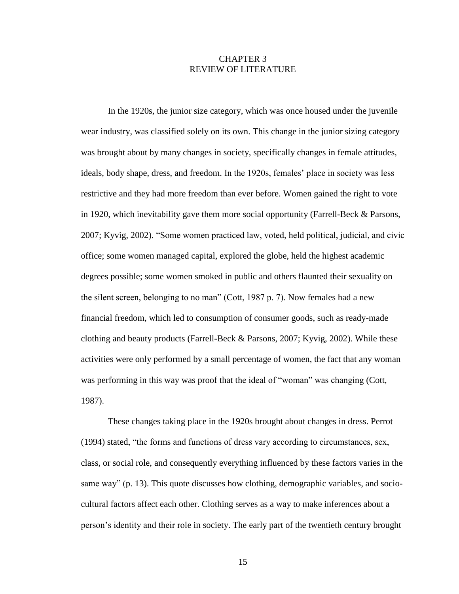## CHAPTER 3 REVIEW OF LITERATURE

In the 1920s, the junior size category, which was once housed under the juvenile wear industry, was classified solely on its own. This change in the junior sizing category was brought about by many changes in society, specifically changes in female attitudes, ideals, body shape, dress, and freedom. In the 1920s, females' place in society was less restrictive and they had more freedom than ever before. Women gained the right to vote in 1920, which inevitability gave them more social opportunity (Farrell-Beck & Parsons, 2007; Kyvig, 2002). "Some women practiced law, voted, held political, judicial, and civic office; some women managed capital, explored the globe, held the highest academic degrees possible; some women smoked in public and others flaunted their sexuality on the silent screen, belonging to no man" (Cott, 1987 p. 7). Now females had a new financial freedom, which led to consumption of consumer goods, such as ready-made clothing and beauty products (Farrell-Beck & Parsons, 2007; Kyvig, 2002). While these activities were only performed by a small percentage of women, the fact that any woman was performing in this way was proof that the ideal of "woman" was changing (Cott, 1987).

These changes taking place in the 1920s brought about changes in dress. Perrot (1994) stated, "the forms and functions of dress vary according to circumstances, sex, class, or social role, and consequently everything influenced by these factors varies in the same way" (p. 13). This quote discusses how clothing, demographic variables, and sociocultural factors affect each other. Clothing serves as a way to make inferences about a person"s identity and their role in society. The early part of the twentieth century brought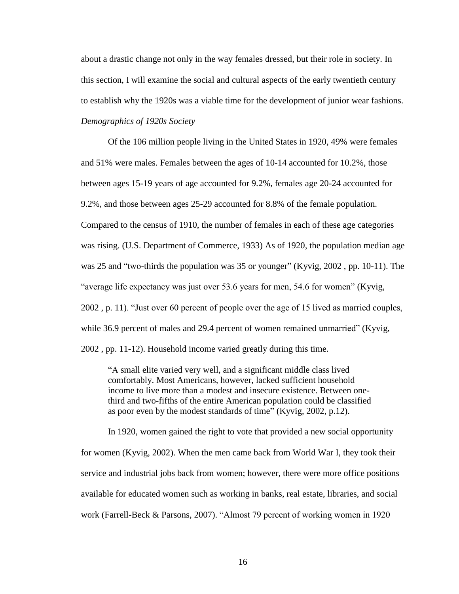about a drastic change not only in the way females dressed, but their role in society. In this section, I will examine the social and cultural aspects of the early twentieth century to establish why the 1920s was a viable time for the development of junior wear fashions. *Demographics of 1920s Society*

Of the 106 million people living in the United States in 1920, 49% were females and 51% were males. Females between the ages of 10-14 accounted for 10.2%, those between ages 15-19 years of age accounted for 9.2%, females age 20-24 accounted for 9.2%, and those between ages 25-29 accounted for 8.8% of the female population. Compared to the census of 1910, the number of females in each of these age categories was rising. (U.S. Department of Commerce, 1933) As of 1920, the population median age was 25 and "two-thirds the population was 35 or younger" (Kyvig, 2002 , pp. 10-11). The "average life expectancy was just over 53.6 years for men, 54.6 for women" (Kyvig, 2002 , p. 11). "Just over 60 percent of people over the age of 15 lived as married couples, while 36.9 percent of males and 29.4 percent of women remained unmarried" (Kyvig, 2002 , pp. 11-12). Household income varied greatly during this time.

"A small elite varied very well, and a significant middle class lived comfortably. Most Americans, however, lacked sufficient household income to live more than a modest and insecure existence. Between onethird and two-fifths of the entire American population could be classified as poor even by the modest standards of time" (Kyvig, 2002, p.12).

In 1920, women gained the right to vote that provided a new social opportunity for women (Kyvig, 2002). When the men came back from World War I, they took their service and industrial jobs back from women; however, there were more office positions available for educated women such as working in banks, real estate, libraries, and social work (Farrell-Beck & Parsons, 2007). "Almost 79 percent of working women in 1920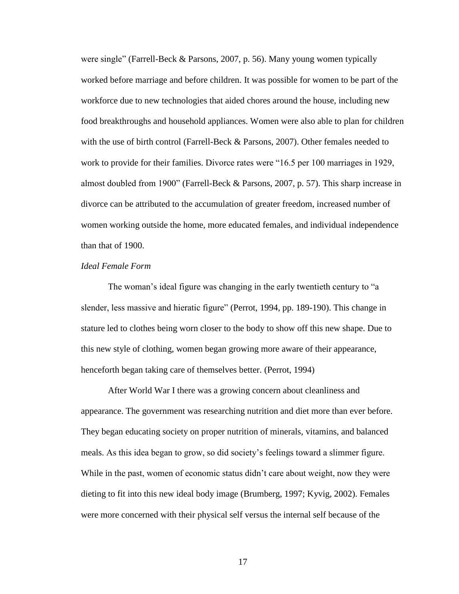were single" (Farrell-Beck & Parsons, 2007, p. 56). Many young women typically worked before marriage and before children. It was possible for women to be part of the workforce due to new technologies that aided chores around the house, including new food breakthroughs and household appliances. Women were also able to plan for children with the use of birth control (Farrell-Beck & Parsons, 2007). Other females needed to work to provide for their families. Divorce rates were "16.5 per 100 marriages in 1929, almost doubled from 1900" (Farrell-Beck & Parsons, 2007, p. 57). This sharp increase in divorce can be attributed to the accumulation of greater freedom, increased number of women working outside the home, more educated females, and individual independence than that of 1900.

#### *Ideal Female Form*

The woman's ideal figure was changing in the early twentieth century to "a slender, less massive and hieratic figure" (Perrot, 1994, pp. 189-190). This change in stature led to clothes being worn closer to the body to show off this new shape. Due to this new style of clothing, women began growing more aware of their appearance, henceforth began taking care of themselves better. (Perrot, 1994)

After World War I there was a growing concern about cleanliness and appearance. The government was researching nutrition and diet more than ever before. They began educating society on proper nutrition of minerals, vitamins, and balanced meals. As this idea began to grow, so did society"s feelings toward a slimmer figure. While in the past, women of economic status didn"t care about weight, now they were dieting to fit into this new ideal body image (Brumberg, 1997; Kyvig, 2002). Females were more concerned with their physical self versus the internal self because of the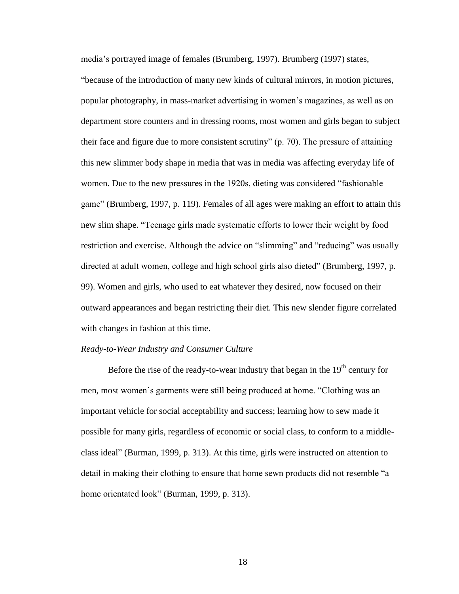media"s portrayed image of females (Brumberg, 1997). Brumberg (1997) states, "because of the introduction of many new kinds of cultural mirrors, in motion pictures, popular photography, in mass-market advertising in women"s magazines, as well as on department store counters and in dressing rooms, most women and girls began to subject their face and figure due to more consistent scrutiny" (p. 70). The pressure of attaining this new slimmer body shape in media that was in media was affecting everyday life of women. Due to the new pressures in the 1920s, dieting was considered "fashionable game" (Brumberg, 1997, p. 119). Females of all ages were making an effort to attain this new slim shape. "Teenage girls made systematic efforts to lower their weight by food restriction and exercise. Although the advice on "slimming" and "reducing" was usually directed at adult women, college and high school girls also dieted" (Brumberg, 1997, p. 99). Women and girls, who used to eat whatever they desired, now focused on their outward appearances and began restricting their diet. This new slender figure correlated with changes in fashion at this time.

#### *Ready-to-Wear Industry and Consumer Culture*

Before the rise of the ready-to-wear industry that began in the  $19<sup>th</sup>$  century for men, most women"s garments were still being produced at home. "Clothing was an important vehicle for social acceptability and success; learning how to sew made it possible for many girls, regardless of economic or social class, to conform to a middleclass ideal" (Burman, 1999, p. 313). At this time, girls were instructed on attention to detail in making their clothing to ensure that home sewn products did not resemble "a home orientated look" (Burman, 1999, p. 313).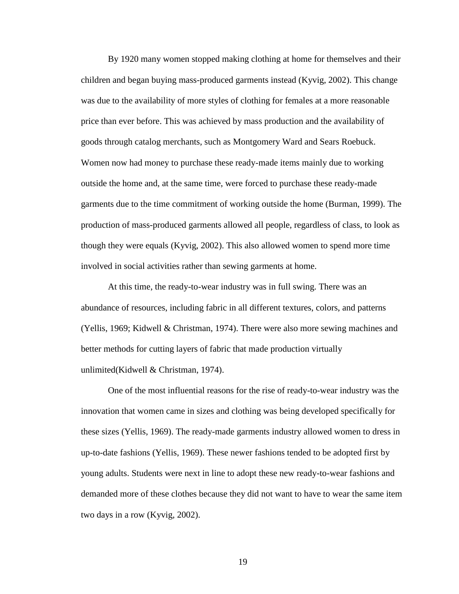By 1920 many women stopped making clothing at home for themselves and their children and began buying mass-produced garments instead (Kyvig, 2002). This change was due to the availability of more styles of clothing for females at a more reasonable price than ever before. This was achieved by mass production and the availability of goods through catalog merchants, such as Montgomery Ward and Sears Roebuck. Women now had money to purchase these ready-made items mainly due to working outside the home and, at the same time, were forced to purchase these ready-made garments due to the time commitment of working outside the home (Burman, 1999). The production of mass-produced garments allowed all people, regardless of class, to look as though they were equals (Kyvig, 2002). This also allowed women to spend more time involved in social activities rather than sewing garments at home.

At this time, the ready-to-wear industry was in full swing. There was an abundance of resources, including fabric in all different textures, colors, and patterns (Yellis, 1969; Kidwell & Christman, 1974). There were also more sewing machines and better methods for cutting layers of fabric that made production virtually unlimited(Kidwell & Christman, 1974).

One of the most influential reasons for the rise of ready-to-wear industry was the innovation that women came in sizes and clothing was being developed specifically for these sizes (Yellis, 1969). The ready-made garments industry allowed women to dress in up-to-date fashions (Yellis, 1969). These newer fashions tended to be adopted first by young adults. Students were next in line to adopt these new ready-to-wear fashions and demanded more of these clothes because they did not want to have to wear the same item two days in a row (Kyvig, 2002).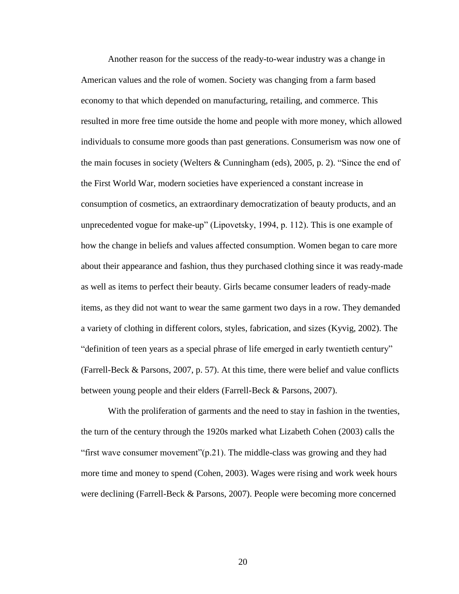Another reason for the success of the ready-to-wear industry was a change in American values and the role of women. Society was changing from a farm based economy to that which depended on manufacturing, retailing, and commerce. This resulted in more free time outside the home and people with more money, which allowed individuals to consume more goods than past generations. Consumerism was now one of the main focuses in society (Welters & Cunningham (eds), 2005, p. 2). "Since the end of the First World War, modern societies have experienced a constant increase in consumption of cosmetics, an extraordinary democratization of beauty products, and an unprecedented vogue for make-up" (Lipovetsky, 1994, p. 112). This is one example of how the change in beliefs and values affected consumption. Women began to care more about their appearance and fashion, thus they purchased clothing since it was ready-made as well as items to perfect their beauty. Girls became consumer leaders of ready-made items, as they did not want to wear the same garment two days in a row. They demanded a variety of clothing in different colors, styles, fabrication, and sizes (Kyvig, 2002). The "definition of teen years as a special phrase of life emerged in early twentieth century" (Farrell-Beck & Parsons, 2007, p. 57). At this time, there were belief and value conflicts between young people and their elders (Farrell-Beck & Parsons, 2007).

With the proliferation of garments and the need to stay in fashion in the twenties, the turn of the century through the 1920s marked what Lizabeth Cohen (2003) calls the "first wave consumer movement"(p.21). The middle-class was growing and they had more time and money to spend (Cohen, 2003). Wages were rising and work week hours were declining (Farrell-Beck & Parsons, 2007). People were becoming more concerned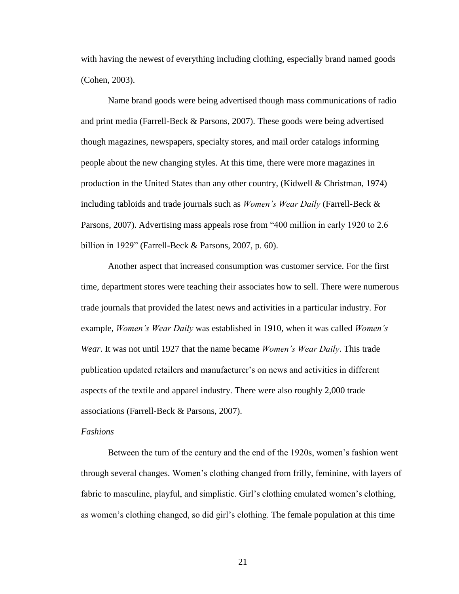with having the newest of everything including clothing, especially brand named goods (Cohen, 2003).

Name brand goods were being advertised though mass communications of radio and print media (Farrell-Beck & Parsons, 2007). These goods were being advertised though magazines, newspapers, specialty stores, and mail order catalogs informing people about the new changing styles. At this time, there were more magazines in production in the United States than any other country, (Kidwell & Christman, 1974) including tabloids and trade journals such as *Women's Wear Daily* (Farrell-Beck & Parsons, 2007). Advertising mass appeals rose from "400 million in early 1920 to 2.6 billion in 1929" (Farrell-Beck & Parsons, 2007, p. 60).

Another aspect that increased consumption was customer service. For the first time, department stores were teaching their associates how to sell. There were numerous trade journals that provided the latest news and activities in a particular industry. For example, *Women's Wear Daily* was established in 1910, when it was called *Women's Wear*. It was not until 1927 that the name became *Women's Wear Daily*. This trade publication updated retailers and manufacturer's on news and activities in different aspects of the textile and apparel industry. There were also roughly 2,000 trade associations (Farrell-Beck & Parsons, 2007).

#### *Fashions*

Between the turn of the century and the end of the 1920s, women"s fashion went through several changes. Women"s clothing changed from frilly, feminine, with layers of fabric to masculine, playful, and simplistic. Girl's clothing emulated women's clothing, as women"s clothing changed, so did girl"s clothing. The female population at this time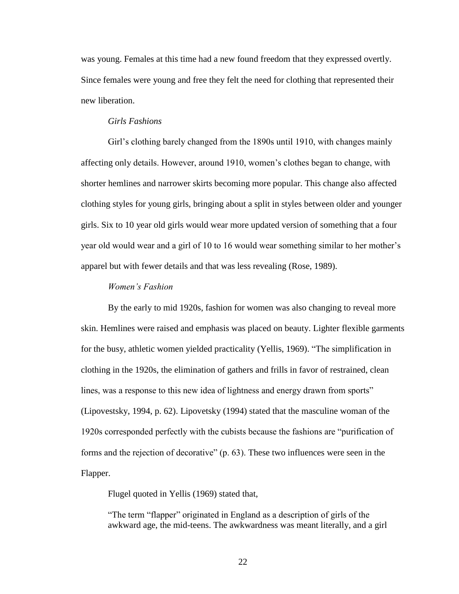was young. Females at this time had a new found freedom that they expressed overtly. Since females were young and free they felt the need for clothing that represented their new liberation.

### *Girls Fashions*

Girl's clothing barely changed from the 1890s until 1910, with changes mainly affecting only details. However, around 1910, women"s clothes began to change, with shorter hemlines and narrower skirts becoming more popular. This change also affected clothing styles for young girls, bringing about a split in styles between older and younger girls. Six to 10 year old girls would wear more updated version of something that a four year old would wear and a girl of 10 to 16 would wear something similar to her mother"s apparel but with fewer details and that was less revealing (Rose, 1989).

#### *Women's Fashion*

By the early to mid 1920s, fashion for women was also changing to reveal more skin. Hemlines were raised and emphasis was placed on beauty. Lighter flexible garments for the busy, athletic women yielded practicality (Yellis, 1969). "The simplification in clothing in the 1920s, the elimination of gathers and frills in favor of restrained, clean lines, was a response to this new idea of lightness and energy drawn from sports" (Lipovestsky, 1994, p. 62). Lipovetsky (1994) stated that the masculine woman of the 1920s corresponded perfectly with the cubists because the fashions are "purification of forms and the rejection of decorative" (p. 63). These two influences were seen in the Flapper.

Flugel quoted in Yellis (1969) stated that,

"The term "flapper" originated in England as a description of girls of the awkward age, the mid-teens. The awkwardness was meant literally, and a girl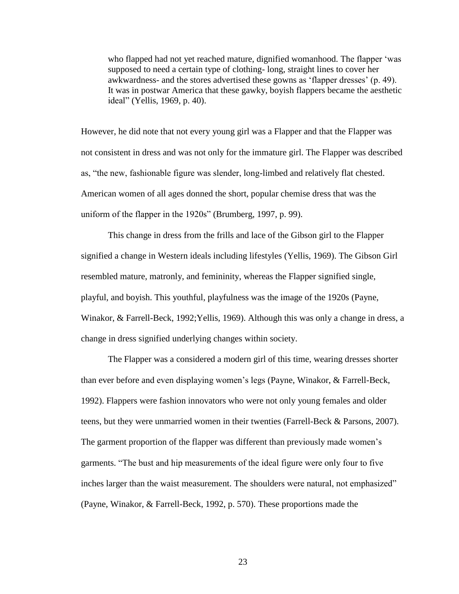who flapped had not yet reached mature, dignified womanhood. The flapper 'was supposed to need a certain type of clothing- long, straight lines to cover her awkwardness- and the stores advertised these gowns as "flapper dresses" (p. 49). It was in postwar America that these gawky, boyish flappers became the aesthetic ideal" (Yellis, 1969, p. 40).

However, he did note that not every young girl was a Flapper and that the Flapper was not consistent in dress and was not only for the immature girl. The Flapper was described as, "the new, fashionable figure was slender, long-limbed and relatively flat chested. American women of all ages donned the short, popular chemise dress that was the uniform of the flapper in the 1920s" (Brumberg, 1997, p. 99).

This change in dress from the frills and lace of the Gibson girl to the Flapper signified a change in Western ideals including lifestyles (Yellis, 1969). The Gibson Girl resembled mature, matronly, and femininity, whereas the Flapper signified single, playful, and boyish. This youthful, playfulness was the image of the 1920s (Payne, Winakor, & Farrell-Beck, 1992;Yellis, 1969). Although this was only a change in dress, a change in dress signified underlying changes within society.

The Flapper was a considered a modern girl of this time, wearing dresses shorter than ever before and even displaying women"s legs (Payne, Winakor, & Farrell-Beck, 1992). Flappers were fashion innovators who were not only young females and older teens, but they were unmarried women in their twenties (Farrell-Beck & Parsons, 2007). The garment proportion of the flapper was different than previously made women's garments. "The bust and hip measurements of the ideal figure were only four to five inches larger than the waist measurement. The shoulders were natural, not emphasized" (Payne, Winakor, & Farrell-Beck, 1992, p. 570). These proportions made the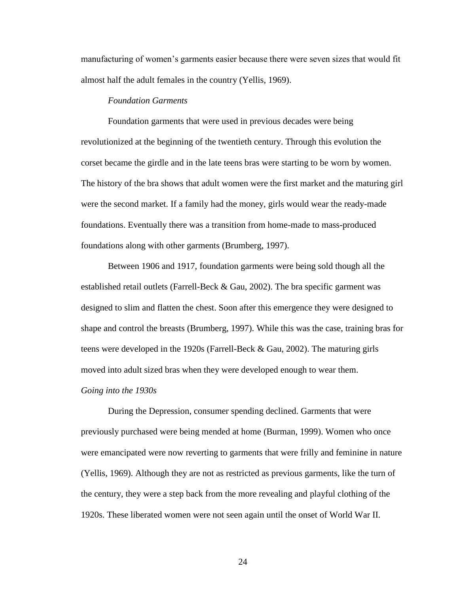manufacturing of women"s garments easier because there were seven sizes that would fit almost half the adult females in the country (Yellis, 1969).

#### *Foundation Garments*

Foundation garments that were used in previous decades were being revolutionized at the beginning of the twentieth century. Through this evolution the corset became the girdle and in the late teens bras were starting to be worn by women. The history of the bra shows that adult women were the first market and the maturing girl were the second market. If a family had the money, girls would wear the ready-made foundations. Eventually there was a transition from home-made to mass-produced foundations along with other garments (Brumberg, 1997).

Between 1906 and 1917, foundation garments were being sold though all the established retail outlets (Farrell-Beck  $\&$  Gau, 2002). The bra specific garment was designed to slim and flatten the chest. Soon after this emergence they were designed to shape and control the breasts (Brumberg, 1997). While this was the case, training bras for teens were developed in the 1920s (Farrell-Beck & Gau, 2002). The maturing girls moved into adult sized bras when they were developed enough to wear them. *Going into the 1930s*

During the Depression, consumer spending declined. Garments that were previously purchased were being mended at home (Burman, 1999). Women who once were emancipated were now reverting to garments that were frilly and feminine in nature (Yellis, 1969). Although they are not as restricted as previous garments, like the turn of the century, they were a step back from the more revealing and playful clothing of the 1920s. These liberated women were not seen again until the onset of World War II.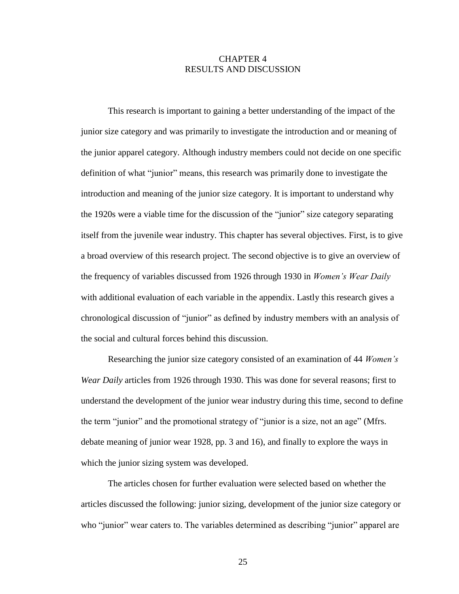## CHAPTER 4 RESULTS AND DISCUSSION

This research is important to gaining a better understanding of the impact of the junior size category and was primarily to investigate the introduction and or meaning of the junior apparel category. Although industry members could not decide on one specific definition of what "junior" means, this research was primarily done to investigate the introduction and meaning of the junior size category. It is important to understand why the 1920s were a viable time for the discussion of the "junior" size category separating itself from the juvenile wear industry. This chapter has several objectives. First, is to give a broad overview of this research project. The second objective is to give an overview of the frequency of variables discussed from 1926 through 1930 in *Women's Wear Daily* with additional evaluation of each variable in the appendix. Lastly this research gives a chronological discussion of "junior" as defined by industry members with an analysis of the social and cultural forces behind this discussion.

Researching the junior size category consisted of an examination of 44 *Women's Wear Daily* articles from 1926 through 1930. This was done for several reasons; first to understand the development of the junior wear industry during this time, second to define the term "junior" and the promotional strategy of "junior is a size, not an age" (Mfrs. debate meaning of junior wear 1928, pp. 3 and 16), and finally to explore the ways in which the junior sizing system was developed.

The articles chosen for further evaluation were selected based on whether the articles discussed the following: junior sizing, development of the junior size category or who "junior" wear caters to. The variables determined as describing "junior" apparel are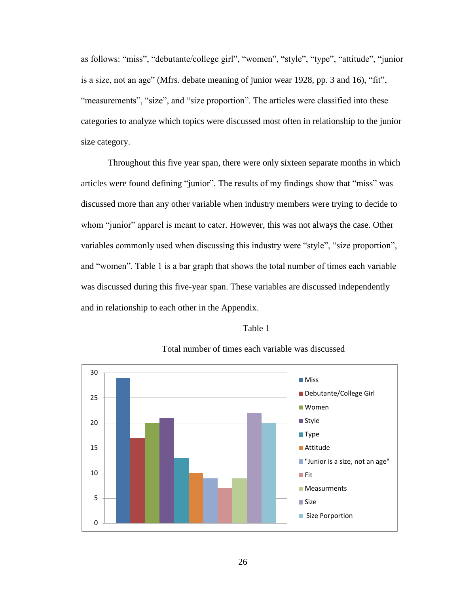as follows: "miss", "debutante/college girl", "women", "style", "type", "attitude", "junior is a size, not an age" (Mfrs. debate meaning of junior wear 1928, pp. 3 and 16), "fit", "measurements", "size", and "size proportion". The articles were classified into these categories to analyze which topics were discussed most often in relationship to the junior size category.

Throughout this five year span, there were only sixteen separate months in which articles were found defining "junior". The results of my findings show that "miss" was discussed more than any other variable when industry members were trying to decide to whom "junior" apparel is meant to cater. However, this was not always the case. Other variables commonly used when discussing this industry were "style", "size proportion", and "women". Table 1 is a bar graph that shows the total number of times each variable was discussed during this five-year span. These variables are discussed independently and in relationship to each other in the Appendix.

#### Table 1



## Total number of times each variable was discussed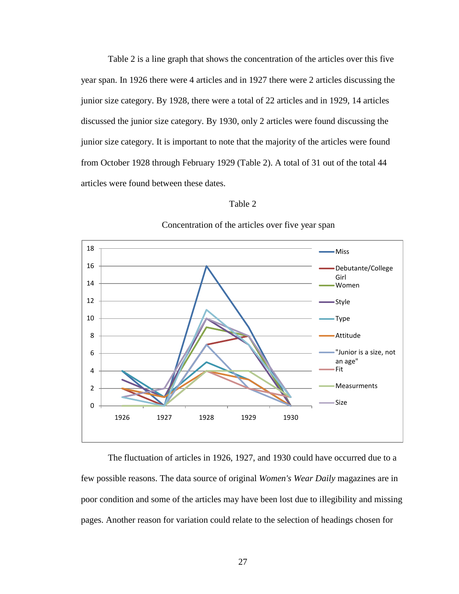Table 2 is a line graph that shows the concentration of the articles over this five year span. In 1926 there were 4 articles and in 1927 there were 2 articles discussing the junior size category. By 1928, there were a total of 22 articles and in 1929, 14 articles discussed the junior size category. By 1930, only 2 articles were found discussing the junior size category. It is important to note that the majority of the articles were found from October 1928 through February 1929 (Table 2). A total of 31 out of the total 44 articles were found between these dates.

#### Table 2



#### Concentration of the articles over five year span

The fluctuation of articles in 1926, 1927, and 1930 could have occurred due to a few possible reasons. The data source of original *Women's Wear Daily* magazines are in poor condition and some of the articles may have been lost due to illegibility and missing pages. Another reason for variation could relate to the selection of headings chosen for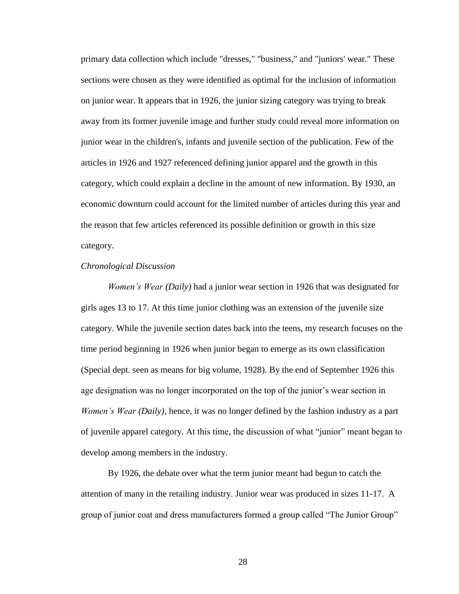primary data collection which include "dresses," "business," and "juniors' wear." These sections were chosen as they were identified as optimal for the inclusion of information on junior wear. It appears that in 1926, the junior sizing category was trying to break away from its former juvenile image and further study could reveal more information on junior wear in the children's, infants and juvenile section of the publication. Few of the articles in 1926 and 1927 referenced defining junior apparel and the growth in this category, which could explain a decline in the amount of new information. By 1930, an economic downturn could account for the limited number of articles during this year and the reason that few articles referenced its possible definition or growth in this size category.

#### *Chronological Discussion*

*Women's Wear (Daily)* had a junior wear section in 1926 that was designated for girls ages 13 to 17. At this time junior clothing was an extension of the juvenile size category. While the juvenile section dates back into the teens, my research focuses on the time period beginning in 1926 when junior began to emerge as its own classification (Special dept. seen as means for big volume, 1928). By the end of September 1926 this age designation was no longer incorporated on the top of the junior's wear section in *Women's Wear (Daily)*, hence, it was no longer defined by the fashion industry as a part of juvenile apparel category. At this time, the discussion of what "junior" meant began to develop among members in the industry.

By 1926, the debate over what the term junior meant had begun to catch the attention of many in the retailing industry. Junior wear was produced in sizes 11-17. A group of junior coat and dress manufacturers formed a group called "The Junior Group"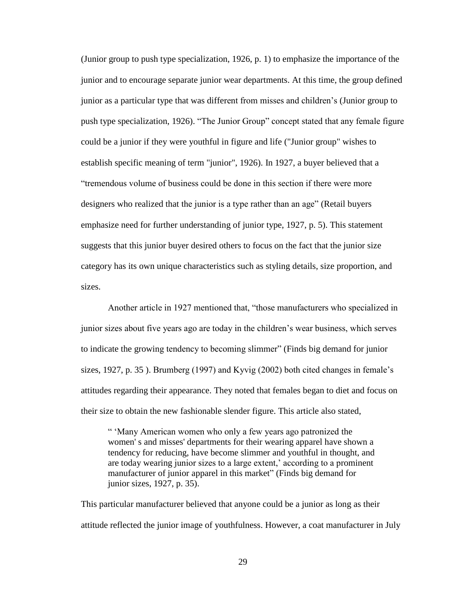(Junior group to push type specialization, 1926, p. 1) to emphasize the importance of the junior and to encourage separate junior wear departments. At this time, the group defined junior as a particular type that was different from misses and children"s (Junior group to push type specialization, 1926). "The Junior Group" concept stated that any female figure could be a junior if they were youthful in figure and life ("Junior group" wishes to establish specific meaning of term "junior", 1926). In 1927, a buyer believed that a "tremendous volume of business could be done in this section if there were more designers who realized that the junior is a type rather than an age" (Retail buyers emphasize need for further understanding of junior type, 1927, p. 5). This statement suggests that this junior buyer desired others to focus on the fact that the junior size category has its own unique characteristics such as styling details, size proportion, and sizes.

Another article in 1927 mentioned that, "those manufacturers who specialized in junior sizes about five years ago are today in the children"s wear business, which serves to indicate the growing tendency to becoming slimmer" (Finds big demand for junior sizes, 1927, p. 35). Brumberg (1997) and Kyvig (2002) both cited changes in female's attitudes regarding their appearance. They noted that females began to diet and focus on their size to obtain the new fashionable slender figure. This article also stated,

" "Many American women who only a few years ago patronized the women' s and misses' departments for their wearing apparel have shown a tendency for reducing, have become slimmer and youthful in thought, and are today wearing junior sizes to a large extent,' according to a prominent manufacturer of junior apparel in this market" (Finds big demand for junior sizes, 1927, p. 35).

This particular manufacturer believed that anyone could be a junior as long as their attitude reflected the junior image of youthfulness. However, a coat manufacturer in July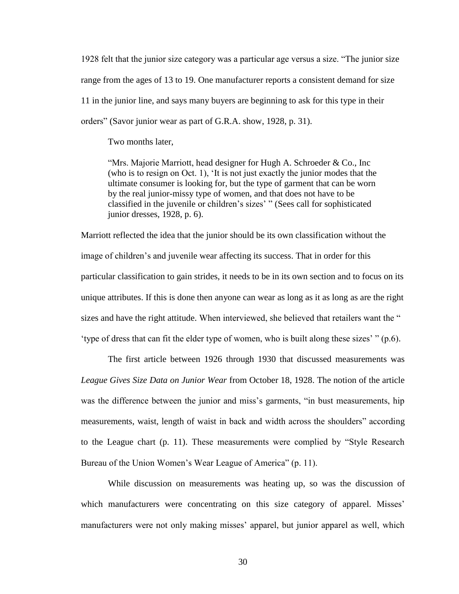1928 felt that the junior size category was a particular age versus a size. "The junior size range from the ages of 13 to 19. One manufacturer reports a consistent demand for size 11 in the junior line, and says many buyers are beginning to ask for this type in their orders" (Savor junior wear as part of G.R.A. show, 1928, p. 31).

Two months later,

"Mrs. Majorie Marriott, head designer for Hugh A. Schroeder & Co., Inc (who is to resign on Oct. 1), "It is not just exactly the junior modes that the ultimate consumer is looking for, but the type of garment that can be worn by the real junior-missy type of women, and that does not have to be classified in the juvenile or children"s sizes" " (Sees call for sophisticated junior dresses, 1928, p. 6).

Marriott reflected the idea that the junior should be its own classification without the image of children's and juvenile wear affecting its success. That in order for this particular classification to gain strides, it needs to be in its own section and to focus on its unique attributes. If this is done then anyone can wear as long as it as long as are the right sizes and have the right attitude. When interviewed, she believed that retailers want the " 'type of dress that can fit the elder type of women, who is built along these sizes'"  $(p.6)$ .

The first article between 1926 through 1930 that discussed measurements was *League Gives Size Data on Junior Wear* from October 18, 1928. The notion of the article was the difference between the junior and miss's garments, "in bust measurements, hip measurements, waist, length of waist in back and width across the shoulders" according to the League chart (p. 11). These measurements were complied by "Style Research Bureau of the Union Women"s Wear League of America" (p. 11).

While discussion on measurements was heating up, so was the discussion of which manufacturers were concentrating on this size category of apparel. Misses' manufacturers were not only making misses' apparel, but junior apparel as well, which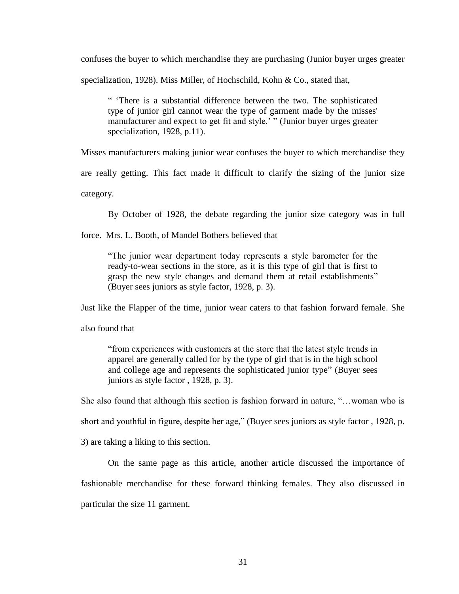confuses the buyer to which merchandise they are purchasing (Junior buyer urges greater

specialization, 1928). Miss Miller, of Hochschild, Kohn & Co., stated that,

" "There is a substantial difference between the two. The sophisticated type of junior girl cannot wear the type of garment made by the misses' manufacturer and expect to get fit and style." " (Junior buyer urges greater specialization, 1928, p.11).

Misses manufacturers making junior wear confuses the buyer to which merchandise they

are really getting. This fact made it difficult to clarify the sizing of the junior size

category.

By October of 1928, the debate regarding the junior size category was in full

force. Mrs. L. Booth, of Mandel Bothers believed that

"The junior wear department today represents a style barometer for the ready-to-wear sections in the store, as it is this type of girl that is first to grasp the new style changes and demand them at retail establishments" (Buyer sees juniors as style factor, 1928, p. 3).

Just like the Flapper of the time, junior wear caters to that fashion forward female. She

also found that

"from experiences with customers at the store that the latest style trends in apparel are generally called for by the type of girl that is in the high school and college age and represents the sophisticated junior type" (Buyer sees juniors as style factor , 1928, p. 3).

She also found that although this section is fashion forward in nature, "…woman who is

short and youthful in figure, despite her age," (Buyer sees juniors as style factor , 1928, p.

3) are taking a liking to this section.

On the same page as this article, another article discussed the importance of fashionable merchandise for these forward thinking females. They also discussed in particular the size 11 garment.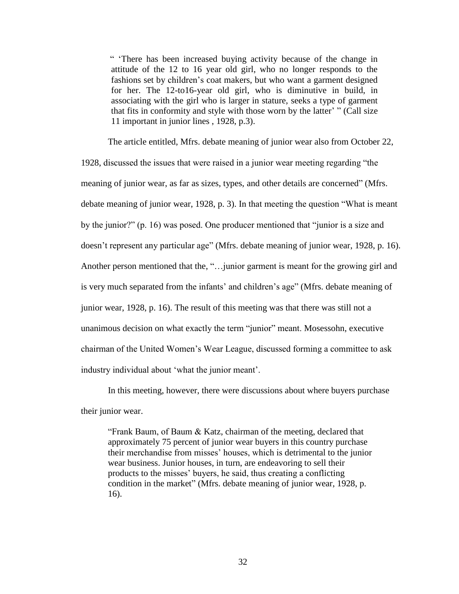" "There has been increased buying activity because of the change in attitude of the 12 to 16 year old girl, who no longer responds to the fashions set by children"s coat makers, but who want a garment designed for her. The 12-to16-year old girl, who is diminutive in build, in associating with the girl who is larger in stature, seeks a type of garment that fits in conformity and style with those worn by the latter' " (Call size 11 important in junior lines , 1928, p.3).

The article entitled, Mfrs. debate meaning of junior wear also from October 22, 1928, discussed the issues that were raised in a junior wear meeting regarding "the meaning of junior wear, as far as sizes, types, and other details are concerned" (Mfrs. debate meaning of junior wear, 1928, p. 3). In that meeting the question "What is meant by the junior?" (p. 16) was posed. One producer mentioned that "junior is a size and doesn't represent any particular age" (Mfrs. debate meaning of junior wear, 1928, p. 16). Another person mentioned that the, "…junior garment is meant for the growing girl and is very much separated from the infants" and children"s age" (Mfrs. debate meaning of junior wear, 1928, p. 16). The result of this meeting was that there was still not a unanimous decision on what exactly the term "junior" meant. Mosessohn, executive chairman of the United Women"s Wear League, discussed forming a committee to ask industry individual about "what the junior meant".

In this meeting, however, there were discussions about where buyers purchase their junior wear.

"Frank Baum, of Baum & Katz, chairman of the meeting, declared that approximately 75 percent of junior wear buyers in this country purchase their merchandise from misses" houses, which is detrimental to the junior wear business. Junior houses, in turn, are endeavoring to sell their products to the misses" buyers, he said, thus creating a conflicting condition in the market" (Mfrs. debate meaning of junior wear, 1928, p. 16).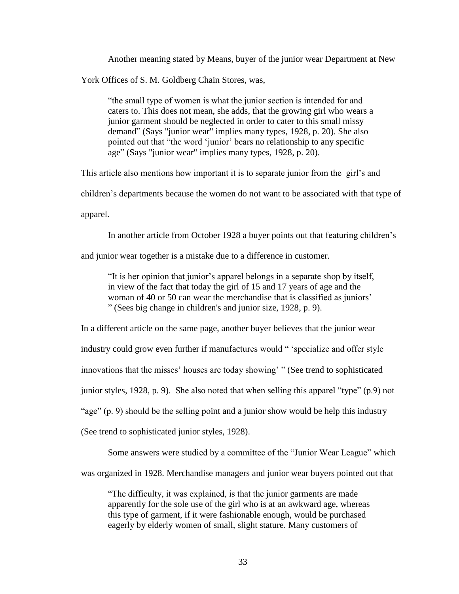Another meaning stated by Means, buyer of the junior wear Department at New

York Offices of S. M. Goldberg Chain Stores, was,

"the small type of women is what the junior section is intended for and caters to. This does not mean, she adds, that the growing girl who wears a junior garment should be neglected in order to cater to this small missy demand" (Says "junior wear" implies many types, 1928, p. 20). She also pointed out that "the word "junior" bears no relationship to any specific age" (Says "junior wear" implies many types, 1928, p. 20).

This article also mentions how important it is to separate junior from the girl"s and

children"s departments because the women do not want to be associated with that type of

apparel.

In another article from October 1928 a buyer points out that featuring children's

and junior wear together is a mistake due to a difference in customer.

"It is her opinion that junior"s apparel belongs in a separate shop by itself, in view of the fact that today the girl of 15 and 17 years of age and the woman of 40 or 50 can wear the merchandise that is classified as juniors' " (Sees big change in children's and junior size, 1928, p. 9).

In a different article on the same page, another buyer believes that the junior wear industry could grow even further if manufactures would " 'specialize and offer style innovations that the misses" houses are today showing" " (See trend to sophisticated junior styles, 1928, p. 9). She also noted that when selling this apparel "type" (p.9) not "age" (p. 9) should be the selling point and a junior show would be help this industry (See trend to sophisticated junior styles, 1928).

Some answers were studied by a committee of the "Junior Wear League" which

was organized in 1928. Merchandise managers and junior wear buyers pointed out that

"The difficulty, it was explained, is that the junior garments are made apparently for the sole use of the girl who is at an awkward age, whereas this type of garment, if it were fashionable enough, would be purchased eagerly by elderly women of small, slight stature. Many customers of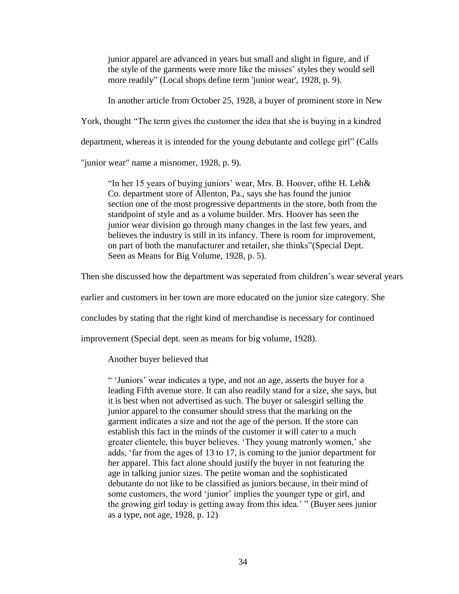junior apparel are advanced in years but small and slight in figure, and if the style of the garments were more like the misses" styles they would sell more readily" (Local shops define term 'junior wear', 1928, p. 9).

In another article from October 25, 1928, a buyer of prominent store in New

York, thought "The term gives the customer the idea that she is buying in a kindred

department, whereas it is intended for the young debutante and college girl" (Calls

"junior wear" name a misnomer, 1928, p. 9).

"In her 15 years of buying juniors" wear, Mrs. B. Hoover, ofthe H. Leh& Co. department store of Allenton, Pa., says she has found the junior section one of the most progressive departments in the store, both from the standpoint of style and as a volume builder. Mrs. Hoover has seen the junior wear division go through many changes in the last few years, and believes the industry is still in its infancy. There is room for improvement, on part of both the manufacturer and retailer, she thinks"(Special Dept. Seen as Means for Big Volume, 1928, p. 5).

Then she discussed how the department was seperated from children"s wear several years

earlier and customers in her town are more educated on the junior size category. She

concludes by stating that the right kind of merchandise is necessary for continued

improvement (Special dept. seen as means for big volume, 1928).

Another buyer believed that

" "Juniors" wear indicates a type, and not an age, asserts the buyer for a leading Fifth avenue store. It can also readily stand for a size, she says, but it is best when not advertised as such. The buyer or salesgirl selling the junior apparel to the consumer should stress that the marking on the garment indicates a size and not the age of the person. If the store can establish this fact in the minds of the customer it will cater to a much greater clientele, this buyer believes. "They young matronly women," she adds, "far from the ages of 13 to 17, is coming to the junior department for her apparel. This fact alone should justify the buyer in not featuring the age in talking junior sizes. The petite woman and the sophisticated debutante do not like to be classified as juniors because, in their mind of some customers, the word 'junior' implies the younger type or girl, and the growing girl today is getting away from this idea." " (Buyer sees junior as a type, not age, 1928, p. 12)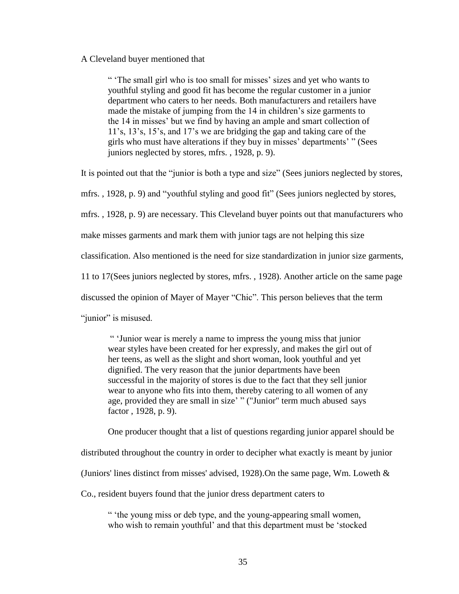#### A Cleveland buyer mentioned that

" The small girl who is too small for misses' sizes and yet who wants to youthful styling and good fit has become the regular customer in a junior department who caters to her needs. Both manufacturers and retailers have made the mistake of jumping from the 14 in children's size garments to the 14 in misses" but we find by having an ample and smart collection of 11"s, 13"s, 15"s, and 17"s we are bridging the gap and taking care of the girls who must have alterations if they buy in misses" departments" " (Sees juniors neglected by stores, mfrs. , 1928, p. 9).

It is pointed out that the "junior is both a type and size" (Sees juniors neglected by stores,

mfrs. , 1928, p. 9) and "youthful styling and good fit" (Sees juniors neglected by stores,

mfrs. , 1928, p. 9) are necessary. This Cleveland buyer points out that manufacturers who

make misses garments and mark them with junior tags are not helping this size

classification. Also mentioned is the need for size standardization in junior size garments,

11 to 17(Sees juniors neglected by stores, mfrs. , 1928). Another article on the same page

discussed the opinion of Mayer of Mayer "Chic". This person believes that the term

"junior" is misused.

" "Junior wear is merely a name to impress the young miss that junior wear styles have been created for her expressly, and makes the girl out of her teens, as well as the slight and short woman, look youthful and yet dignified. The very reason that the junior departments have been successful in the majority of stores is due to the fact that they sell junior wear to anyone who fits into them, thereby catering to all women of any age, provided they are small in size' " ("Junior" term much abused says factor , 1928, p. 9).

One producer thought that a list of questions regarding junior apparel should be

distributed throughout the country in order to decipher what exactly is meant by junior

(Juniors' lines distinct from misses' advised, 1928). On the same page, Wm. Loweth  $\&$ 

Co., resident buyers found that the junior dress department caters to

" "the young miss or deb type, and the young-appearing small women, who wish to remain youthful' and that this department must be 'stocked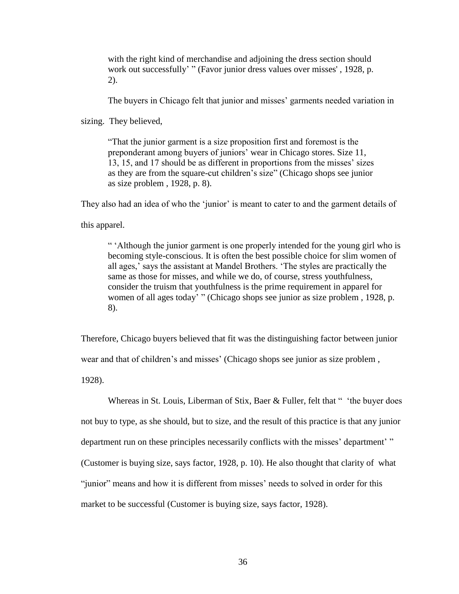with the right kind of merchandise and adjoining the dress section should work out successfully' " (Favor junior dress values over misses', 1928, p. 2).

The buyers in Chicago felt that junior and misses' garments needed variation in

sizing. They believed,

"That the junior garment is a size proposition first and foremost is the preponderant among buyers of juniors" wear in Chicago stores. Size 11, 13, 15, and 17 should be as different in proportions from the misses" sizes as they are from the square-cut children"s size" (Chicago shops see junior as size problem , 1928, p. 8).

They also had an idea of who the 'junior' is meant to cater to and the garment details of

this apparel.

" "Although the junior garment is one properly intended for the young girl who is becoming style-conscious. It is often the best possible choice for slim women of all ages," says the assistant at Mandel Brothers. "The styles are practically the same as those for misses, and while we do, of course, stress youthfulness, consider the truism that youthfulness is the prime requirement in apparel for women of all ages today' " (Chicago shops see junior as size problem, 1928, p. 8).

Therefore, Chicago buyers believed that fit was the distinguishing factor between junior

wear and that of children"s and misses" (Chicago shops see junior as size problem ,

1928).

Whereas in St. Louis, Liberman of Stix, Baer & Fuller, felt that " 'the buyer does not buy to type, as she should, but to size, and the result of this practice is that any junior department run on these principles necessarily conflicts with the misses' department'" (Customer is buying size, says factor, 1928, p. 10). He also thought that clarity of what "junior" means and how it is different from misses" needs to solved in order for this market to be successful (Customer is buying size, says factor, 1928).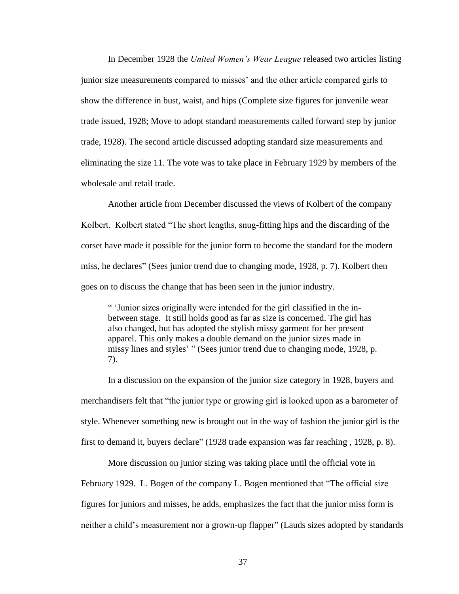In December 1928 the *United Women's Wear League* released two articles listing junior size measurements compared to misses" and the other article compared girls to show the difference in bust, waist, and hips (Complete size figures for junvenile wear trade issued, 1928; Move to adopt standard measurements called forward step by junior trade, 1928). The second article discussed adopting standard size measurements and eliminating the size 11. The vote was to take place in February 1929 by members of the wholesale and retail trade.

Another article from December discussed the views of Kolbert of the company Kolbert. Kolbert stated "The short lengths, snug-fitting hips and the discarding of the corset have made it possible for the junior form to become the standard for the modern miss, he declares" (Sees junior trend due to changing mode, 1928, p. 7). Kolbert then goes on to discuss the change that has been seen in the junior industry.

" "Junior sizes originally were intended for the girl classified in the inbetween stage. It still holds good as far as size is concerned. The girl has also changed, but has adopted the stylish missy garment for her present apparel. This only makes a double demand on the junior sizes made in missy lines and styles' " (Sees junior trend due to changing mode, 1928, p. 7).

In a discussion on the expansion of the junior size category in 1928, buyers and merchandisers felt that "the junior type or growing girl is looked upon as a barometer of style. Whenever something new is brought out in the way of fashion the junior girl is the first to demand it, buyers declare" (1928 trade expansion was far reaching , 1928, p. 8).

More discussion on junior sizing was taking place until the official vote in February 1929. L. Bogen of the company L. Bogen mentioned that "The official size figures for juniors and misses, he adds, emphasizes the fact that the junior miss form is neither a child"s measurement nor a grown-up flapper" (Lauds sizes adopted by standards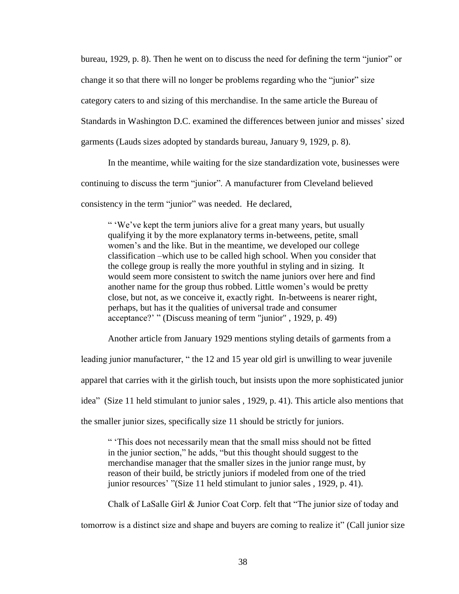bureau, 1929, p. 8). Then he went on to discuss the need for defining the term "junior" or change it so that there will no longer be problems regarding who the "junior" size category caters to and sizing of this merchandise. In the same article the Bureau of Standards in Washington D.C. examined the differences between junior and misses" sized garments (Lauds sizes adopted by standards bureau, January 9, 1929, p. 8).

In the meantime, while waiting for the size standardization vote, businesses were continuing to discuss the term "junior". A manufacturer from Cleveland believed consistency in the term "junior" was needed. He declared,

" 'We've kept the term juniors alive for a great many years, but usually qualifying it by the more explanatory terms in-betweens, petite, small women's and the like. But in the meantime, we developed our college classification –which use to be called high school. When you consider that the college group is really the more youthful in styling and in sizing. It would seem more consistent to switch the name juniors over here and find another name for the group thus robbed. Little women"s would be pretty close, but not, as we conceive it, exactly right. In-betweens is nearer right, perhaps, but has it the qualities of universal trade and consumer acceptance?" " (Discuss meaning of term "junior" , 1929, p. 49)

Another article from January 1929 mentions styling details of garments from a

leading junior manufacturer, " the 12 and 15 year old girl is unwilling to wear juvenile

apparel that carries with it the girlish touch, but insists upon the more sophisticated junior

idea" (Size 11 held stimulant to junior sales , 1929, p. 41). This article also mentions that

the smaller junior sizes, specifically size 11 should be strictly for juniors.

" "This does not necessarily mean that the small miss should not be fitted in the junior section," he adds, "but this thought should suggest to the merchandise manager that the smaller sizes in the junior range must, by reason of their build, be strictly juniors if modeled from one of the tried junior resources' "(Size 11 held stimulant to junior sales, 1929, p. 41).

Chalk of LaSalle Girl & Junior Coat Corp. felt that "The junior size of today and tomorrow is a distinct size and shape and buyers are coming to realize it" (Call junior size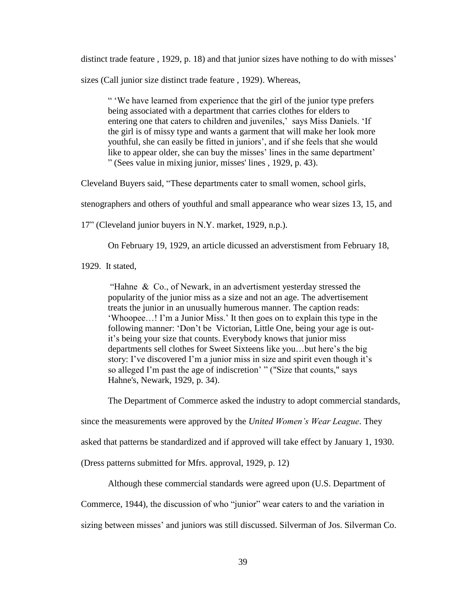distinct trade feature , 1929, p. 18) and that junior sizes have nothing to do with misses'

sizes (Call junior size distinct trade feature , 1929). Whereas,

" "We have learned from experience that the girl of the junior type prefers being associated with a department that carries clothes for elders to entering one that caters to children and juveniles,' says Miss Daniels. 'If the girl is of missy type and wants a garment that will make her look more youthful, she can easily be fitted in juniors', and if she feels that she would like to appear older, she can buy the misses' lines in the same department' " (Sees value in mixing junior, misses' lines , 1929, p. 43).

Cleveland Buyers said, "These departments cater to small women, school girls,

stenographers and others of youthful and small appearance who wear sizes 13, 15, and

17" (Cleveland junior buyers in N.Y. market, 1929, n.p.).

On February 19, 1929, an article dicussed an adverstisment from February 18,

1929. It stated,

"Hahne & Co., of Newark, in an advertisment yesterday stressed the popularity of the junior miss as a size and not an age. The advertisement treats the junior in an unusually humerous manner. The caption reads: "Whoopee…! I"m a Junior Miss." It then goes on to explain this type in the following manner: "Don"t be Victorian, Little One, being your age is outit's being your size that counts. Everybody knows that junior miss departments sell clothes for Sweet Sixteens like you…but here"s the big story: I've discovered I'm a junior miss in size and spirit even though it's so alleged I'm past the age of indiscretion' " ("Size that counts," says Hahne's, Newark, 1929, p. 34).

The Department of Commerce asked the industry to adopt commercial standards,

since the measurements were approved by the *United Women's Wear League*. They

asked that patterns be standardized and if approved will take effect by January 1, 1930.

(Dress patterns submitted for Mfrs. approval, 1929, p. 12)

Although these commercial standards were agreed upon (U.S. Department of

Commerce, 1944), the discussion of who "junior" wear caters to and the variation in

sizing between misses" and juniors was still discussed. Silverman of Jos. Silverman Co.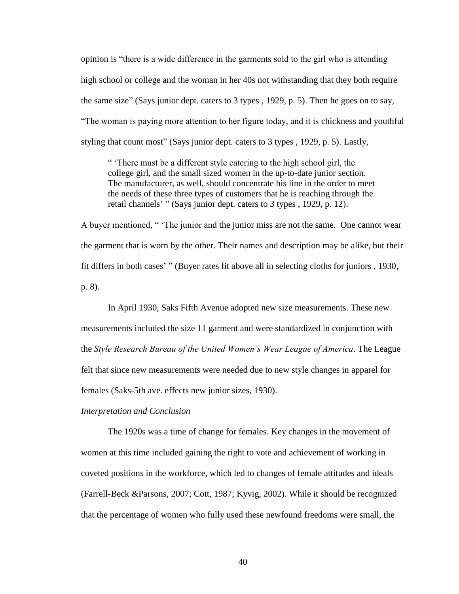opinion is "there is a wide difference in the garments sold to the girl who is attending high school or college and the woman in her 40s not withstanding that they both require the same size" (Says junior dept. caters to 3 types , 1929, p. 5). Then he goes on to say, "The woman is paying more attention to her figure today, and it is chickness and youthful styling that count most" (Says junior dept. caters to 3 types , 1929, p. 5). Lastly,

" "There must be a different style catering to the high school girl, the college girl, and the small sized women in the up-to-date junior section. The manufacturer, as well, should concentrate his line in the order to meet the needs of these three types of customers that he is reaching through the retail channels" " (Says junior dept. caters to 3 types , 1929, p. 12).

A buyer mentioned, " "The junior and the junior miss are not the same. One cannot wear the garment that is worn by the other. Their names and description may be alike, but their fit differs in both cases" " (Buyer rates fit above all in selecting cloths for juniors , 1930, p. 8).

In April 1930, Saks Fifth Avenue adopted new size measurements. These new measurements included the size 11 garment and were standardized in conjunction with the *Style Research Bureau of the United Women's Wear League of America*. The League felt that since new measurements were needed due to new style changes in apparel for females (Saks-5th ave. effects new junior sizes, 1930).

*Interpretation and Conclusion* 

The 1920s was a time of change for females. Key changes in the movement of women at this time included gaining the right to vote and achievement of working in coveted positions in the workforce, which led to changes of female attitudes and ideals (Farrell-Beck &Parsons, 2007; Cott, 1987; Kyvig, 2002). While it should be recognized that the percentage of women who fully used these newfound freedoms were small, the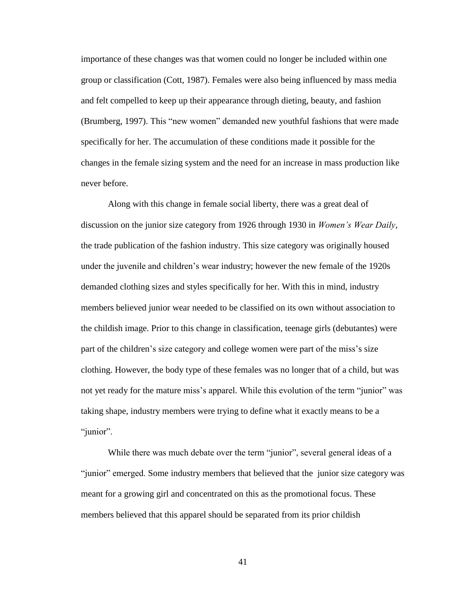importance of these changes was that women could no longer be included within one group or classification (Cott, 1987). Females were also being influenced by mass media and felt compelled to keep up their appearance through dieting, beauty, and fashion (Brumberg, 1997). This "new women" demanded new youthful fashions that were made specifically for her. The accumulation of these conditions made it possible for the changes in the female sizing system and the need for an increase in mass production like never before.

Along with this change in female social liberty, there was a great deal of discussion on the junior size category from 1926 through 1930 in *Women's Wear Daily*, the trade publication of the fashion industry. This size category was originally housed under the juvenile and children"s wear industry; however the new female of the 1920s demanded clothing sizes and styles specifically for her. With this in mind, industry members believed junior wear needed to be classified on its own without association to the childish image. Prior to this change in classification, teenage girls (debutantes) were part of the children's size category and college women were part of the miss's size clothing. However, the body type of these females was no longer that of a child, but was not yet ready for the mature miss"s apparel. While this evolution of the term "junior" was taking shape, industry members were trying to define what it exactly means to be a "junior".

While there was much debate over the term "junior", several general ideas of a "junior" emerged. Some industry members that believed that the junior size category was meant for a growing girl and concentrated on this as the promotional focus. These members believed that this apparel should be separated from its prior childish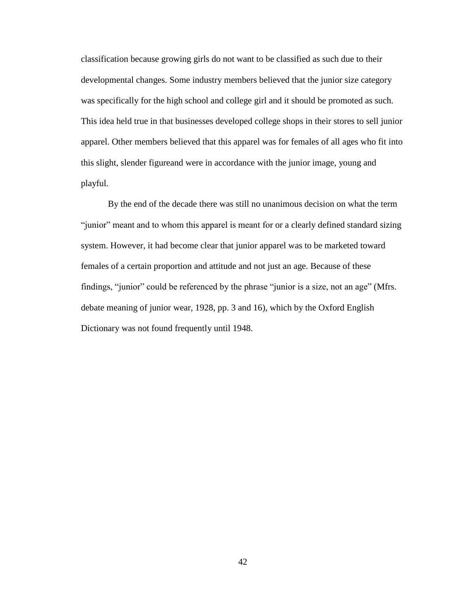classification because growing girls do not want to be classified as such due to their developmental changes. Some industry members believed that the junior size category was specifically for the high school and college girl and it should be promoted as such. This idea held true in that businesses developed college shops in their stores to sell junior apparel. Other members believed that this apparel was for females of all ages who fit into this slight, slender figureand were in accordance with the junior image, young and playful.

By the end of the decade there was still no unanimous decision on what the term "junior" meant and to whom this apparel is meant for or a clearly defined standard sizing system. However, it had become clear that junior apparel was to be marketed toward females of a certain proportion and attitude and not just an age. Because of these findings, "junior" could be referenced by the phrase "junior is a size, not an age" (Mfrs. debate meaning of junior wear, 1928, pp. 3 and 16), which by the Oxford English Dictionary was not found frequently until 1948.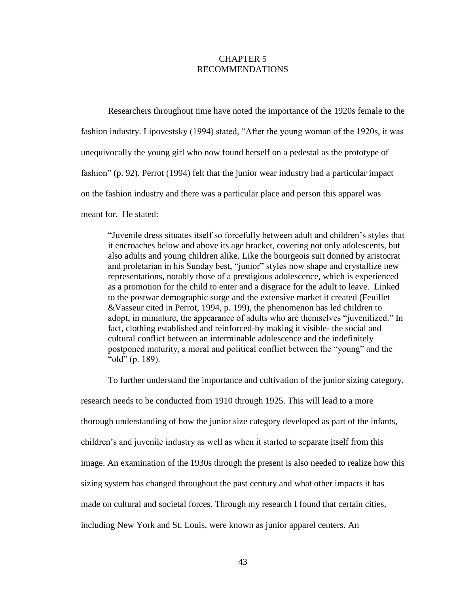## CHAPTER 5 RECOMMENDATIONS

Researchers throughout time have noted the importance of the 1920s female to the fashion industry. Lipovestsky (1994) stated, "After the young woman of the 1920s, it was unequivocally the young girl who now found herself on a pedestal as the prototype of fashion" (p. 92). Perrot (1994) felt that the junior wear industry had a particular impact on the fashion industry and there was a particular place and person this apparel was meant for. He stated:

"Juvenile dress situates itself so forcefully between adult and children"s styles that it encroaches below and above its age bracket, covering not only adolescents, but also adults and young children alike. Like the bourgeois suit donned by aristocrat and proletarian in his Sunday best, "junior" styles now shape and crystallize new representations, notably those of a prestigious adolescence, which is experienced as a promotion for the child to enter and a disgrace for the adult to leave. Linked to the postwar demographic surge and the extensive market it created (Feuillet &Vasseur cited in Perrot, 1994, p. 199), the phenomenon has led children to adopt, in miniature, the appearance of adults who are themselves "juvenilized." In fact, clothing established and reinforced-by making it visible- the social and cultural conflict between an interminable adolescence and the indefinitely postponed maturity, a moral and political conflict between the "young" and the "old" (p. 189).

To further understand the importance and cultivation of the junior sizing category, research needs to be conducted from 1910 through 1925. This will lead to a more thorough understanding of how the junior size category developed as part of the infants, children"s and juvenile industry as well as when it started to separate itself from this image. An examination of the 1930s through the present is also needed to realize how this sizing system has changed throughout the past century and what other impacts it has made on cultural and societal forces. Through my research I found that certain cities, including New York and St. Louis, were known as junior apparel centers. An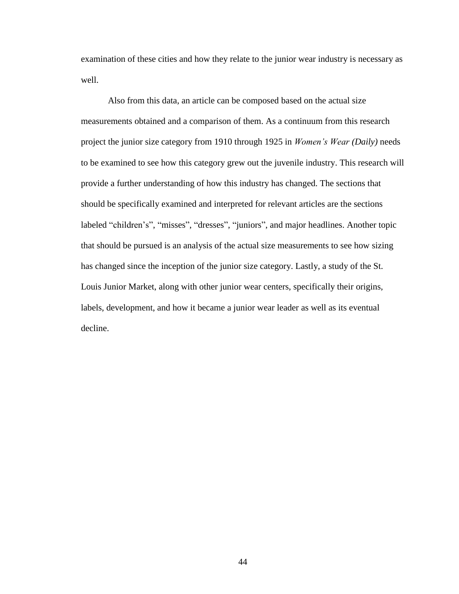examination of these cities and how they relate to the junior wear industry is necessary as well.

Also from this data, an article can be composed based on the actual size measurements obtained and a comparison of them. As a continuum from this research project the junior size category from 1910 through 1925 in *Women's Wear (Daily)* needs to be examined to see how this category grew out the juvenile industry. This research will provide a further understanding of how this industry has changed. The sections that should be specifically examined and interpreted for relevant articles are the sections labeled "children"s", "misses", "dresses", "juniors", and major headlines. Another topic that should be pursued is an analysis of the actual size measurements to see how sizing has changed since the inception of the junior size category. Lastly, a study of the St. Louis Junior Market, along with other junior wear centers, specifically their origins, labels, development, and how it became a junior wear leader as well as its eventual decline.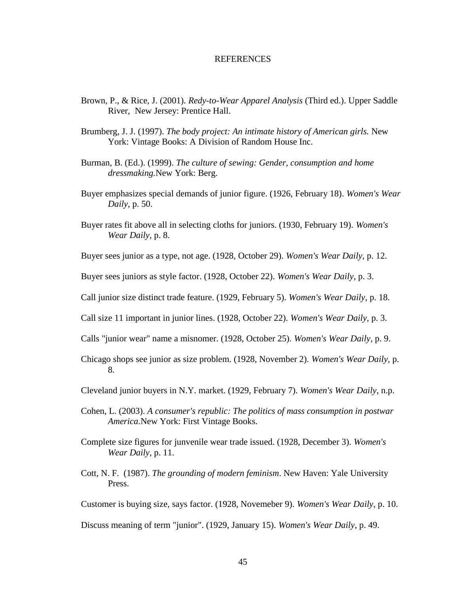#### **REFERENCES**

- Brown, P., & Rice, J. (2001). *Redy-to-Wear Apparel Analysis* (Third ed.). Upper Saddle River, New Jersey: Prentice Hall.
- Brumberg, J. J. (1997). *The body project: An intimate history of American girls.* New York: Vintage Books: A Division of Random House Inc.
- Burman, B. (Ed.). (1999). *The culture of sewing: Gender, consumption and home dressmaking.*New York: Berg.
- Buyer emphasizes special demands of junior figure. (1926, February 18). *Women's Wear Daily*, p. 50.
- Buyer rates fit above all in selecting cloths for juniors. (1930, February 19). *Women's Wear Daily*, p. 8.

Buyer sees junior as a type, not age. (1928, October 29). *Women's Wear Daily*, p. 12.

Buyer sees juniors as style factor. (1928, October 22). *Women's Wear Daily*, p. 3.

Call junior size distinct trade feature. (1929, February 5). *Women's Wear Daily*, p. 18.

Call size 11 important in junior lines. (1928, October 22). *Women's Wear Daily*, p. 3.

Calls "junior wear" name a misnomer. (1928, October 25). *Women's Wear Daily*, p. 9.

- Chicago shops see junior as size problem. (1928, November 2). *Women's Wear Daily*, p. 8.
- Cleveland junior buyers in N.Y. market. (1929, February 7). *Women's Wear Daily*, n.p.
- Cohen, L. (2003). *A consumer's republic: The politics of mass consumption in postwar America.*New York: First Vintage Books.
- Complete size figures for junvenile wear trade issued. (1928, December 3). *Women's Wear Daily*, p. 11.
- Cott, N. F. (1987). *The grounding of modern feminism*. New Haven: Yale University Press.

Customer is buying size, says factor. (1928, Novemeber 9). *Women's Wear Daily*, p. 10.

Discuss meaning of term "junior". (1929, January 15). *Women's Wear Daily*, p. 49.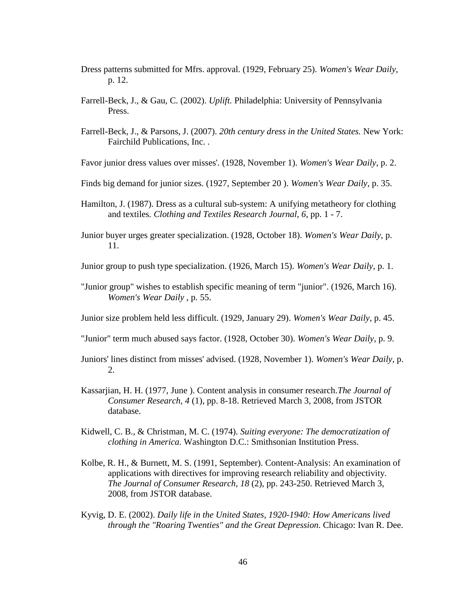- Dress patterns submitted for Mfrs. approval. (1929, February 25). *Women's Wear Daily*, p. 12.
- Farrell-Beck, J., & Gau, C. (2002). *Uplift.* Philadelphia: University of Pennsylvania Press.
- Farrell-Beck, J., & Parsons, J. (2007). *20th century dress in the United States.* New York: Fairchild Publications, Inc. .

Favor junior dress values over misses'. (1928, November 1). *Women's Wear Daily*, p. 2.

- Finds big demand for junior sizes. (1927, September 20 ). *Women's Wear Daily*, p. 35.
- Hamilton, J. (1987). Dress as a cultural sub-system: A unifying metatheory for clothing and textiles*. Clothing and Textiles Research Journal, 6*, pp. 1 - 7.
- Junior buyer urges greater specialization. (1928, October 18). *Women's Wear Daily*, p. 11.

Junior group to push type specialization. (1926, March 15). *Women's Wear Daily*, p. 1.

"Junior group" wishes to establish specific meaning of term "junior". (1926, March 16). *Women's Wear Daily* , p. 55.

Junior size problem held less difficult. (1929, January 29). *Women's Wear Daily*, p. 45.

"Junior" term much abused says factor. (1928, October 30). *Women's Wear Daily*, p. 9.

- Juniors' lines distinct from misses' advised. (1928, November 1). *Women's Wear Daily*, p. 2.
- Kassarjian, H. H. (1977, June ). Content analysis in consumer research.*The Journal of Consumer Research, 4* (1), pp. 8-18. Retrieved March 3, 2008, from JSTOR database.
- Kidwell, C. B., & Christman, M. C. (1974). *Suiting everyone: The democratization of clothing in America.* Washington D.C.: Smithsonian Institution Press.
- Kolbe, R. H., & Burnett, M. S. (1991, September). Content-Analysis: An examination of applications with directives for improving research reliability and objectivity. *The Journal of Consumer Research, 18* (2), pp. 243-250. Retrieved March 3, 2008, from JSTOR database.
- Kyvig, D. E. (2002). *Daily life in the United States, 1920-1940: How Americans lived through the "Roaring Twenties" and the Great Depression.* Chicago: Ivan R. Dee.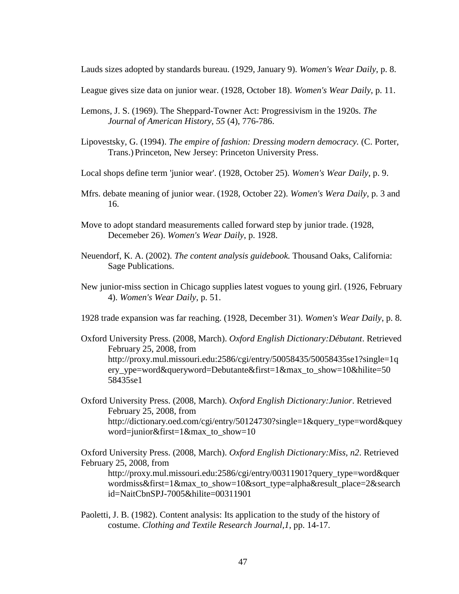Lauds sizes adopted by standards bureau. (1929, January 9). *Women's Wear Daily*, p. 8.

League gives size data on junior wear. (1928, October 18). *Women's Wear Daily*, p. 11.

- Lemons, J. S. (1969). The Sheppard-Towner Act: Progressivism in the 1920s. *The Journal of American History, 55* (4), 776-786.
- Lipovestsky, G. (1994). *The empire of fashion: Dressing modern democracy.* (C. Porter, Trans.) Princeton, New Jersey: Princeton University Press.
- Local shops define term 'junior wear'. (1928, October 25). *Women's Wear Daily*, p. 9.
- Mfrs. debate meaning of junior wear. (1928, October 22). *Women's Wera Daily*, p. 3 and 16.
- Move to adopt standard measurements called forward step by junior trade. (1928, Decemeber 26). *Women's Wear Daily*, p. 1928.
- Neuendorf, K. A. (2002). *The content analysis guidebook.* Thousand Oaks, California: Sage Publications.
- New junior-miss section in Chicago supplies latest vogues to young girl. (1926, February 4). *Women's Wear Daily*, p. 51.

1928 trade expansion was far reaching. (1928, December 31). *Women's Wear Daily*, p. 8.

Oxford University Press. (2008, March). *Oxford English Dictionary:Débutant*. Retrieved February 25, 2008, from http://proxy.mul.missouri.edu:2586/cgi/entry/50058435/50058435se1?single=1q ery\_ype=word&queryword=Debutante&first=1&max\_to\_show=10&hilite=50 58435se1

Oxford University Press. (2008, March). *Oxford English Dictionary:Junior*. Retrieved February 25, 2008, from http://dictionary.oed.com/cgi/entry/50124730?single=1&query\_type=word&quey word=junior&first=1&max\_to\_show=10

Oxford University Press. (2008, March). *Oxford English Dictionary:Miss, n2*. Retrieved February 25, 2008, from

http://proxy.mul.missouri.edu:2586/cgi/entry/00311901?query\_type=word&quer wordmiss&first=1&max\_to\_show=10&sort\_type=alpha&result\_place=2&search id=NaitCbnSPJ-7005&hilite=00311901

Paoletti, J. B. (1982). Content analysis: Its application to the study of the history of costume. *Clothing and Textile Research Journal,1*, pp. 14-17.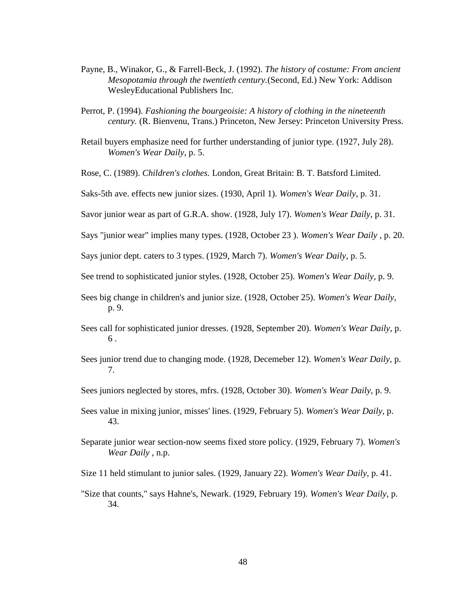- Payne, B., Winakor, G., & Farrell-Beck, J. (1992). *The history of costume: From ancient Mesopotamia through the twentieth century.*(Second, Ed.) New York: Addison WesleyEducational Publishers Inc.
- Perrot, P. (1994). *Fashioning the bourgeoisie: A history of clothing in the nineteenth century.* (R. Bienvenu, Trans.) Princeton, New Jersey: Princeton University Press.
- Retail buyers emphasize need for further understanding of junior type. (1927, July 28). *Women's Wear Daily*, p. 5.
- Rose, C. (1989). *Children's clothes.* London, Great Britain: B. T. Batsford Limited.
- Saks-5th ave. effects new junior sizes. (1930, April 1). *Women's Wear Daily*, p. 31.
- Savor junior wear as part of G.R.A. show. (1928, July 17). *Women's Wear Daily*, p. 31.
- Says "junior wear" implies many types. (1928, October 23 ). *Women's Wear Daily* , p. 20.
- Says junior dept. caters to 3 types. (1929, March 7). *Women's Wear Daily*, p. 5.
- See trend to sophisticated junior styles. (1928, October 25). *Women's Wear Daily*, p. 9.
- Sees big change in children's and junior size. (1928, October 25). *Women's Wear Daily*, p. 9.
- Sees call for sophisticated junior dresses. (1928, September 20). *Women's Wear Daily*, p. 6 .
- Sees junior trend due to changing mode. (1928, Decemeber 12). *Women's Wear Daily*, p. 7.
- Sees juniors neglected by stores, mfrs. (1928, October 30). *Women's Wear Daily*, p. 9.
- Sees value in mixing junior, misses' lines. (1929, February 5). *Women's Wear Daily*, p. 43.
- Separate junior wear section-now seems fixed store policy. (1929, February 7). *Women's Wear Daily* , n.p.
- Size 11 held stimulant to junior sales. (1929, January 22). *Women's Wear Daily*, p. 41.
- "Size that counts," says Hahne's, Newark. (1929, February 19). *Women's Wear Daily*, p. 34.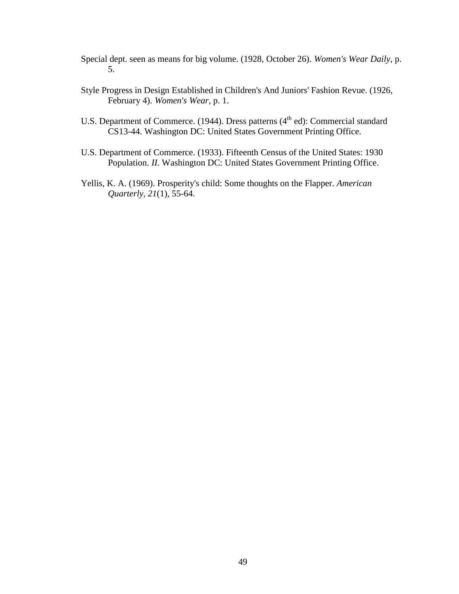- Special dept. seen as means for big volume. (1928, October 26). *Women's Wear Daily*, p. 5.
- Style Progress in Design Established in Children's And Juniors' Fashion Revue. (1926, February 4). *Women's Wear*, p. 1.
- U.S. Department of Commerce. (1944). Dress patterns  $(4<sup>th</sup> ed)$ : Commercial standard CS13-44. Washington DC: United States Government Printing Office.
- U.S. Department of Commerce. (1933). Fifteenth Census of the United States: 1930 Population. *II*. Washington DC: United States Government Printing Office.
- Yellis, K. A. (1969). Prosperity's child: Some thoughts on the Flapper. *American Quarterly, 21*(1), 55-64.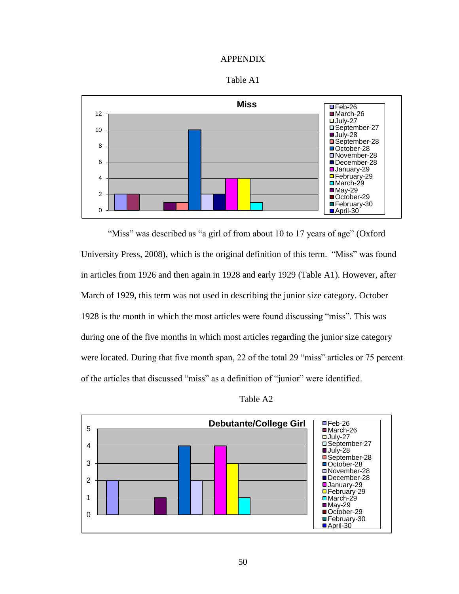#### APPENDIX





"Miss" was described as "a girl of from about 10 to 17 years of age" (Oxford University Press, 2008), which is the original definition of this term. "Miss" was found in articles from 1926 and then again in 1928 and early 1929 (Table A1). However, after March of 1929, this term was not used in describing the junior size category. October 1928 is the month in which the most articles were found discussing "miss". This was during one of the five months in which most articles regarding the junior size category were located. During that five month span, 22 of the total 29 "miss" articles or 75 percent of the articles that discussed "miss" as a definition of "junior" were identified.

Table A2

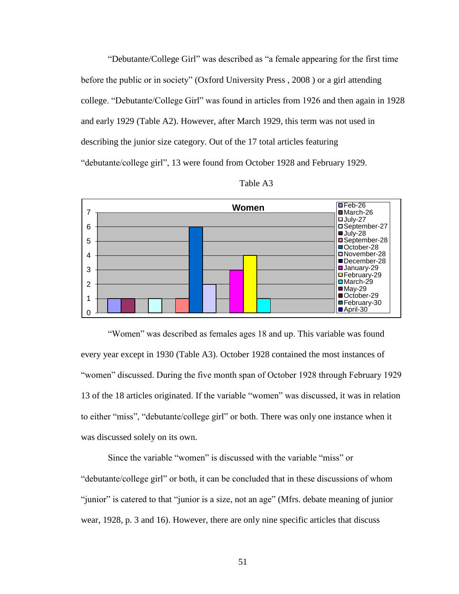"Debutante/College Girl" was described as "a female appearing for the first time before the public or in society" (Oxford University Press , 2008 ) or a girl attending college. "Debutante/College Girl" was found in articles from 1926 and then again in 1928 and early 1929 (Table A2). However, after March 1929, this term was not used in describing the junior size category. Out of the 17 total articles featuring "debutante/college girl", 13 were found from October 1928 and February 1929.



Table A3

"Women" was described as females ages 18 and up. This variable was found every year except in 1930 (Table A3). October 1928 contained the most instances of "women" discussed. During the five month span of October 1928 through February 1929 13 of the 18 articles originated. If the variable "women" was discussed, it was in relation to either "miss", "debutante/college girl" or both. There was only one instance when it was discussed solely on its own.

Since the variable "women" is discussed with the variable "miss" or "debutante/college girl" or both, it can be concluded that in these discussions of whom "junior" is catered to that "junior is a size, not an age" (Mfrs. debate meaning of junior wear, 1928, p. 3 and 16). However, there are only nine specific articles that discuss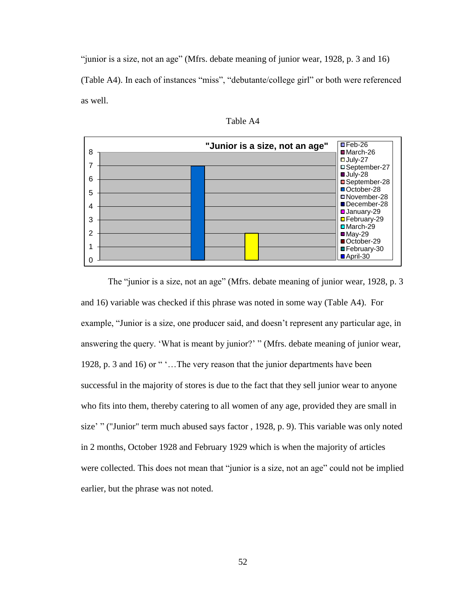"junior is a size, not an age" (Mfrs. debate meaning of junior wear, 1928, p. 3 and 16) (Table A4). In each of instances "miss", "debutante/college girl" or both were referenced as well.



Table A4

The "junior is a size, not an age" (Mfrs. debate meaning of junior wear, 1928, p. 3 and 16) variable was checked if this phrase was noted in some way (Table A4). For example, "Junior is a size, one producer said, and doesn't represent any particular age, in answering the query. "What is meant by junior?" " (Mfrs. debate meaning of junior wear, 1928, p. 3 and 16) or ""...The very reason that the junior departments have been successful in the majority of stores is due to the fact that they sell junior wear to anyone who fits into them, thereby catering to all women of any age, provided they are small in size' " ("Junior" term much abused says factor, 1928, p. 9). This variable was only noted in 2 months, October 1928 and February 1929 which is when the majority of articles were collected. This does not mean that "junior is a size, not an age" could not be implied earlier, but the phrase was not noted.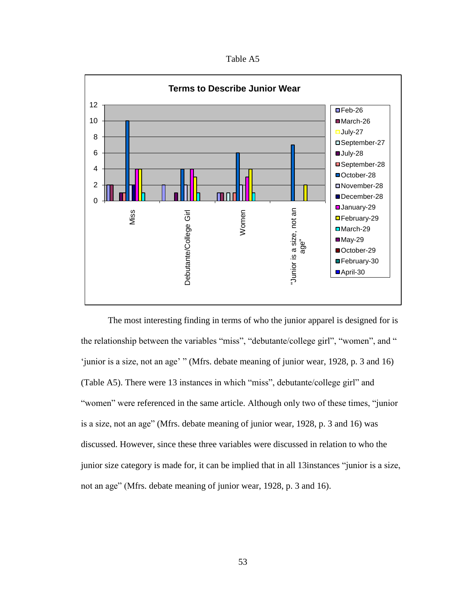Table A5



The most interesting finding in terms of who the junior apparel is designed for is the relationship between the variables "miss", "debutante/college girl", "women", and " "junior is a size, not an age" " (Mfrs. debate meaning of junior wear, 1928, p. 3 and 16) (Table A5). There were 13 instances in which "miss", debutante/college girl" and "women" were referenced in the same article. Although only two of these times, "junior is a size, not an age" (Mfrs. debate meaning of junior wear, 1928, p. 3 and 16) was discussed. However, since these three variables were discussed in relation to who the junior size category is made for, it can be implied that in all 13instances "junior is a size, not an age" (Mfrs. debate meaning of junior wear, 1928, p. 3 and 16).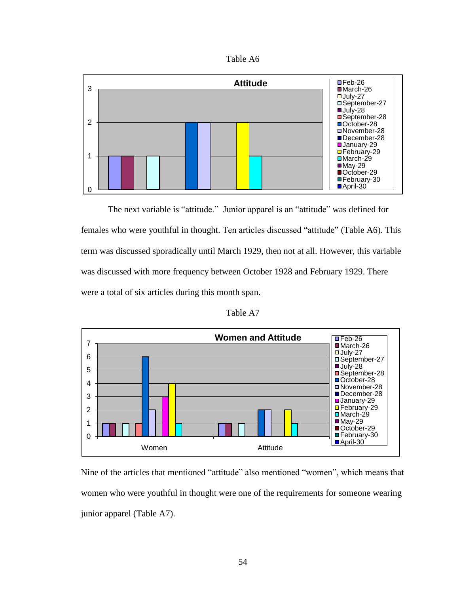



The next variable is "attitude." Junior apparel is an "attitude" was defined for females who were youthful in thought. Ten articles discussed "attitude" (Table A6). This term was discussed sporadically until March 1929, then not at all. However, this variable was discussed with more frequency between October 1928 and February 1929. There were a total of six articles during this month span.

Table A7



Nine of the articles that mentioned "attitude" also mentioned "women", which means that women who were youthful in thought were one of the requirements for someone wearing junior apparel (Table A7).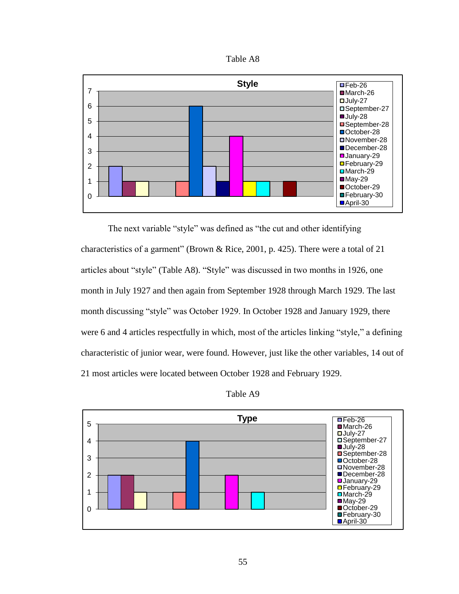



The next variable "style" was defined as "the cut and other identifying characteristics of a garment" (Brown & Rice, 2001, p. 425). There were a total of 21 articles about "style" (Table A8). "Style" was discussed in two months in 1926, one month in July 1927 and then again from September 1928 through March 1929. The last month discussing "style" was October 1929. In October 1928 and January 1929, there were 6 and 4 articles respectfully in which, most of the articles linking "style," a defining characteristic of junior wear, were found. However, just like the other variables, 14 out of 21 most articles were located between October 1928 and February 1929.



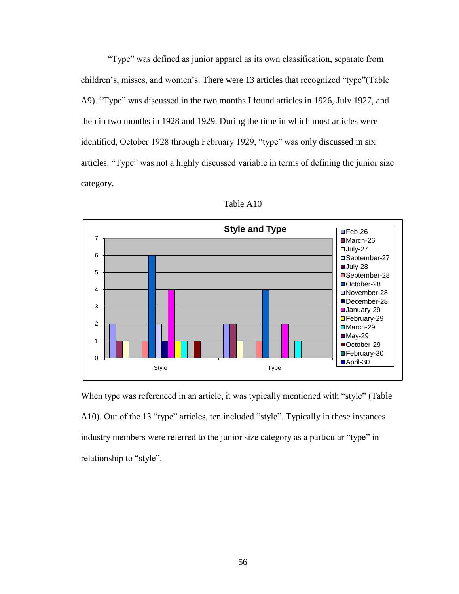"Type" was defined as junior apparel as its own classification, separate from children"s, misses, and women"s. There were 13 articles that recognized "type"(Table A9). "Type" was discussed in the two months I found articles in 1926, July 1927, and then in two months in 1928 and 1929. During the time in which most articles were identified, October 1928 through February 1929, "type" was only discussed in six articles. "Type" was not a highly discussed variable in terms of defining the junior size category.



Table A10

When type was referenced in an article, it was typically mentioned with "style" (Table A10). Out of the 13 "type" articles, ten included "style". Typically in these instances industry members were referred to the junior size category as a particular "type" in relationship to "style".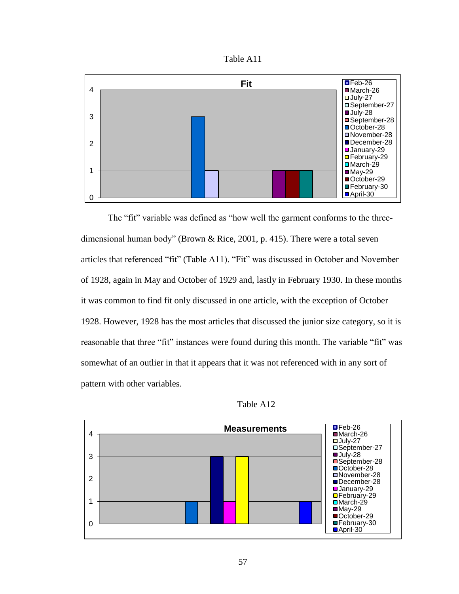



The "fit" variable was defined as "how well the garment conforms to the threedimensional human body" (Brown & Rice, 2001, p. 415). There were a total seven articles that referenced "fit" (Table A11). "Fit" was discussed in October and November of 1928, again in May and October of 1929 and, lastly in February 1930. In these months it was common to find fit only discussed in one article, with the exception of October 1928. However, 1928 has the most articles that discussed the junior size category, so it is reasonable that three "fit" instances were found during this month. The variable "fit" was somewhat of an outlier in that it appears that it was not referenced with in any sort of pattern with other variables.



Table A12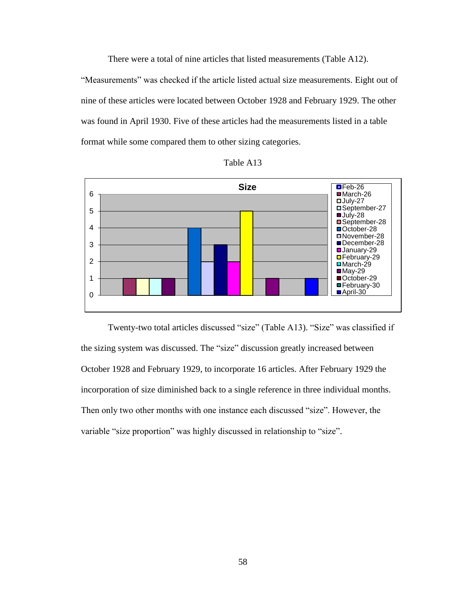There were a total of nine articles that listed measurements (Table A12). "Measurements" was checked if the article listed actual size measurements. Eight out of nine of these articles were located between October 1928 and February 1929. The other was found in April 1930. Five of these articles had the measurements listed in a table format while some compared them to other sizing categories.





Twenty-two total articles discussed "size" (Table A13). "Size" was classified if the sizing system was discussed. The "size" discussion greatly increased between October 1928 and February 1929, to incorporate 16 articles. After February 1929 the incorporation of size diminished back to a single reference in three individual months. Then only two other months with one instance each discussed "size". However, the variable "size proportion" was highly discussed in relationship to "size".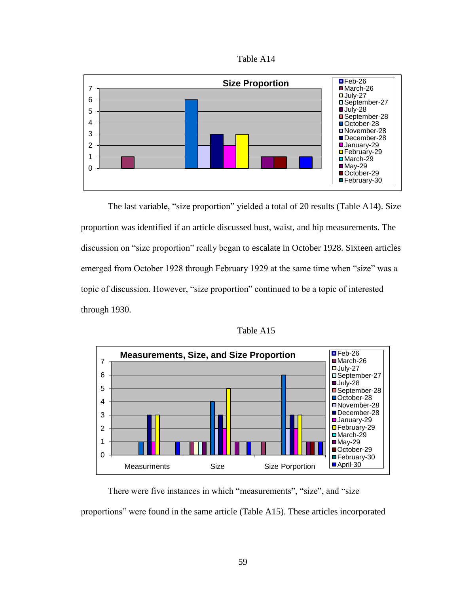

The last variable, "size proportion" yielded a total of 20 results (Table A14). Size proportion was identified if an article discussed bust, waist, and hip measurements. The discussion on "size proportion" really began to escalate in October 1928. Sixteen articles emerged from October 1928 through February 1929 at the same time when "size" was a topic of discussion. However, "size proportion" continued to be a topic of interested through 1930.

Table A15

■February-30



There were five instances in which "measurements", "size", and "size proportions" were found in the same article (Table A15). These articles incorporated